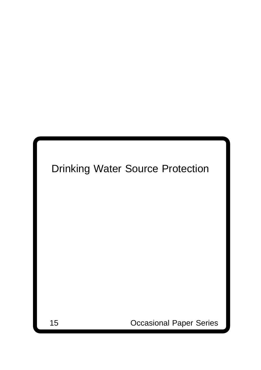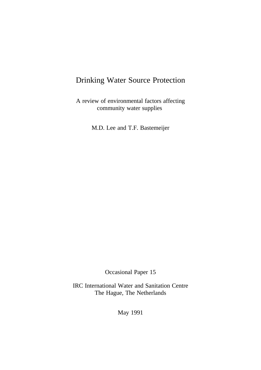### Drinking Water Source Protection

A review of environmental factors affecting community water supplies

M.D. Lee and T.F. Bastemeijer

Occasional Paper 15

IRC International Water and Sanitation Centre The Hague, The Netherlands

May 1991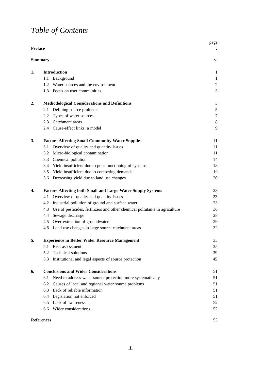# *Table of Contents*

|                |                   |                                                                                 | page             |
|----------------|-------------------|---------------------------------------------------------------------------------|------------------|
| <b>Preface</b> |                   |                                                                                 | V                |
|                | <b>Summary</b>    |                                                                                 | V1               |
| 1.             |                   | <b>Introduction</b>                                                             | 1                |
|                | 1.1               | Background                                                                      | $\mathbf{1}$     |
|                |                   | 1.2 Water sources and the environment                                           | $\boldsymbol{2}$ |
|                |                   | 1.3 Focus on user communities                                                   | 3                |
| 2.             |                   | <b>Methodological Considerations and Definitions</b>                            | $\sqrt{5}$       |
|                | 2.1               | Defining source problems                                                        | $\mathfrak s$    |
|                | 2.2               | Types of water sources                                                          | $\tau$           |
|                |                   | 2.3 Catchment areas                                                             | 8                |
|                |                   | 2.4 Cause-effect links: a model                                                 | 9                |
| 3.             |                   | <b>Factors Affecting Small Community Water Supplies</b>                         | 11               |
|                | 3.1               | Overview of quality and quantity issues                                         | 11               |
|                |                   | 3.2 Micro-biological contamination                                              | 11               |
|                |                   | 3.3 Chemical pollution                                                          | 14               |
|                |                   | 3.4 Yield insufficient due to poor functioning of systems                       | 18               |
|                |                   | 3.5 Yield insufficient due to competing demands                                 | 19               |
|                |                   | 3.6 Decreasing yield due to land use changes                                    | 20               |
| 4.             |                   | <b>Factors Affecting both Small and Large Water Supply Systems</b>              | 23               |
|                | 4.1               | Overview of quality and quantity issues                                         | 23               |
|                |                   | 4.2 Industrial pollution of ground and surface water                            | 23               |
|                |                   | 4.3 Use of pesticides, fertilizers and other chemical pollutants in agriculture | 36               |
|                | 4.4               | Sewage discharge                                                                | 28               |
|                |                   | 4.5 Over-extraction of groundwater                                              | 29               |
|                |                   | 4.6 Land-use changes in large source catchment areas                            | 32               |
| 5.             |                   | <b>Experience in Better Water Resource Management</b>                           | 35               |
|                | 5.1               | Risk assessment                                                                 | 35               |
|                | 5.2               | Technical solutions                                                             | 39               |
|                | 5.3               | Institutional and legal aspects of source protection                            | 45               |
| 6.             |                   | <b>Conclusions and Wider Considerations</b>                                     | 51               |
|                | 6.1               | Need to address water source protection more systematically                     | 51               |
|                | 6.2               | Causes of local and regional water source problems                              | 51               |
|                |                   | 6.3 Lack of reliable information                                                | 51               |
|                |                   | 6.4 Legislation not enforced                                                    | 51               |
|                |                   | 6.5 Lack of awareness                                                           | 52               |
|                |                   | 6.6 Wider considerations                                                        | 52               |
|                | <b>References</b> |                                                                                 | 55               |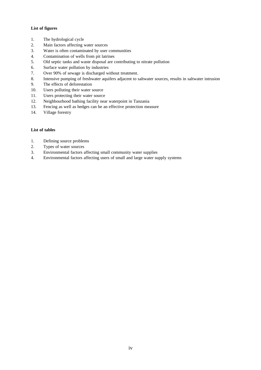#### **List of figures**

- 1. The hydrological cycle
- 2. Main factors affecting water sources
- 3. Water is often contaminated by user communities
- 4. Contamination of wells from pit latrines
- 5. Old septic tanks and waste disposal are contributing to nitrate pollution
- 6. Surface water pollution by industries
- 7. Over 90% of sewage is discharged without treatment.
- 8. Intensive pumping of freshwater aquifers adjacent to saltwater sources, results in saltwater intrusion
- 9. The effects of deforestation
- 10. Users polluting their water source
- 11. Users protecting their water source
- 12. Neighbourhood bathing facility near waterpoint in Tanzania
- 13. Fencing as well as hedges can be an effective protection measure
- 14. Village forestry

#### **List of tables**

- 1. Defining source problems
- 2. Types of water sources
- 3. Environmental factors affecting small community water supplies
- 4. Environmental factors affecting users of small and large water supply systems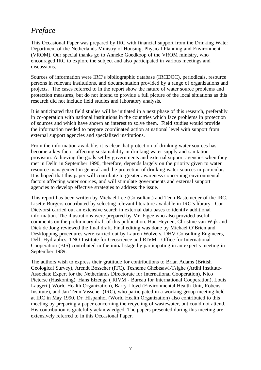## *Preface*

This Occasional Paper was prepared by IRC with financial support from the Drinking Water Department of the Netherlands Ministry of Housing, Physical Planning and Environment (VROM). Our special thanks go to Anneke Goedkoop of the VROM ministry, who encouraged IRC to explore the subject and also participated in various meetings and discussions.

Sources of information were IRC's bibliographic database (IRCDOC), periodicals, resource persons in relevant institutions, and documentation provided by a range of organizations and projects. The cases referred to in the report show the nature of water source problems and protection measures, but do not intend to provide a full picture of the local situations as this research did not include field studies and laboratory analysis.

It is anticipated that field studies will be initiated in a next phase of this research, preferably in co-operation with national institutions in the countries which face problems in protection of sources and which have shown an interest to solve them. Field studies would provide the information needed to prepare coordinated action at national level with support from external support agencies and specialized institutions.

From the information available, it is clear that protection of drinking water sources has become a key factor affecting sustainability in drinking water supply and sanitation provision. Achieving the goals set by governments and external support agencies when they met in Delhi in September 1990, therefore, depends largely on the priority given to water resource management in general and the protection of drinking water sources in particular. It is hoped that this paper will contribute to greater awareness concerning environmental factors affecting water sources, and will stimulate governments and external support agencies to develop effective strategies to address the issue.

This report has been written by Michael Lee (Consultant) and Teun Bastemeijer of the IRC. Lisette Burgers contributed by selecting relevant literature available in IRC's library. Cor Dietvorst carried out an extensive search in external data bases to identify additional information. The illustrations were prepared by Mr. Figee who also provided useful comments on the preliminary draft of this publication. Han Heynen, Christine van Wijk and Dick de Jong reviewed the final draft. Final editing was done by Michael O'Brien and Desktopping procedures were carried out by Lauren Wolvers. DHV-Consulting Engineers, Delft Hydraulics, TNO-Institute for Geoscience and RIVM - Office for International Cooperation (BIS) contributed in the initial stage by participating in an expert's meeting in September 1989.

The authors wish to express their gratitude for contributions to Brian Adams (British Geological Survey), Arendt Bosscher (ITC), Tesheme Ghebtsawi-Tsighe (Ardhi Institute-Associate Expert for the Netherlands Directorate for International Cooperation), Nico Pieterse (Haskoning), Hans Elzenga ( RIVM - Bureau for International Cooperation), Louis Laugeri ( World Health Organization), Barry Lloyd (Environmental Health Unit, Robens Institute), and Jan Teun Visscher (IRC), who participated in a working group meeting held at IRC in May 1990. Dr. Hispanhol (World Health Organization) also contributed to this meeting by preparing a paper concerning the recycling of wastewater, but could not attend. His contribution is gratefully acknowledged. The papers presented during this meeting are extensively referred to in this Occasional Paper.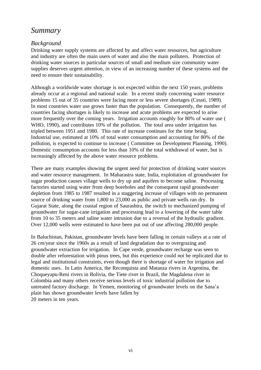### *Summary*

#### *Background*

Drinking water supply systems are affected by and affect water resources, but agriculture and industry are often the main users of water and also the main polluters. Protection of drinking water sources in particular sources of small and medium size community water supplies deserves urgent attention, in view of an increasing number of these systems and the need to ensure their sustainability.

Although a worldwide water shortage is not expected within the next 150 years, problems already occur at a regional and national scale. In a recent study concerning water resource problems 15 out of 35 countries were facing more or less severe shortages (Cessti, 1989). In most countries water use grows faster than the population. Consequently, the number of countries facing shortages is likely to increase and acute problems are expected to arise more frequently over the coming years. Irrigation accounts roughly for 80% of water use ( WHO, 1990), and contributes 10% of the pollution. The total area under irrigation has tripled between 1951 and 1980. This rate of increase continues for the time being. Industrial use, estimated at 10% of total water consumption and accounting for 80% of the pollution, is expected to continue to increase ( Committee on Development Planning, 1990). Domestic consumption accounts for less than 10% of the total withdrawal of water, but is increasingly affected by the above water resource problems.

There are many examples showing the urgent need for protection of drinking water sources and water resource management. In Maharastra state, India, exploitation of groundwater for sugar production causes village wells to dry up and aquifers to become saline. Processing factories started using water from deep boreholes and the consequent rapid groundwater depletion from 1985 to 1987 resulted in a staggering increase of villages with no permanent source of drinking water from 1,800 to 23,000 as public and private wells ran dry. In Gujarat State, along the coastal region of Saurashtra, the switch to mechanized pumping of groundwater for sugar-cane irrigation and processing lead to a lowering of the water table from 10 to 35 meters and saline water intrusion due to a reversal of the hydraulic gradient. Over 12,000 wells were estimated to have been put out of use affecting 280,000 people.

In Baluchistan, Pakistan, groundwater levels have been falling in certain valleys at a rate of 26 cm/year since the 1960s as a result of land degradation due to overgrazing and groundwater extraction for irrigation. In Cape verde, groundwater recharge was seen to double after reforestation with pinus trees, but this experience could not be replicated due to legal and institutional constraints, even though there is shortage of water for irrigation and domestic uses. In Latin America, the Reconquista and Matanza rivers in Argentina, the Choqueyapu-Reni rivers in Bolivia, the Tiete river in Brazil, the Magdalena river in Colombia and many others receive serious levels of toxic industrial pollution due to untreated factory discharge. In Yemen, monitoring of groundwater levels on the Sana'a plain has shown groundwater levels have fallen by 20 meters in ten years.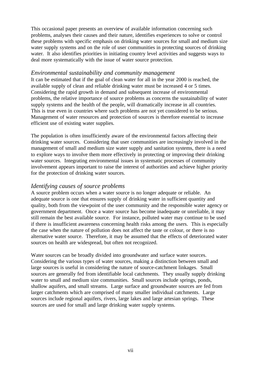This occasional paper presents an overview of available information concerning such problems, analyses their causes and their nature, identifies experiences to solve or control these problems with specific emphasis on drinking water sources for small and medium size water supply systems and on the role of user communities in protecting sources of drinking water. It also identifies priorities in initiating country level activities and suggests ways to deal more systematically with the issue of water source protection.

#### *Environmental sustainability and community management*

It can be estimated that if the goal of clean water for all in the year 2000 is reached, the available supply of clean and reliable drinking water must be increased 4 or 5 times. Considering the rapid growth in demand and subsequent increase of environmental problems, the relative importance of source problems as concerns the sustainability of water supply systems and the health of the people, will dramatically increase in all countries. This is true even in countries where such problems are not yet considered to be serious. Management of water resources and protection of sources is therefore essential to increase efficient use of existing water supplies.

The population is often insufficiently aware of the environmental factors affecting their drinking water sources. Considering that user communities are increasingly involved in the management of small and medium size water supply and sanitation systems, there is a need to explore ways to involve them more effectively in protecting or improving their drinking water sources. Integrating environmental issues in systematic processes of community involvement appears important to raise the interest of authorities and achieve higher priority for the protection of drinking water sources.

#### *Identifying causes of source problems*

A source problem occurs when a water source is no longer adequate or reliable. An adequate source is one that ensures supply of drinking water in sufficient quantity and quality, both from the viewpoint of the user community and the responsible water agency or government department. Once a water source has become inadequate or unreliable, it may still remain the best available source. For instance, polluted water may continue to be used if there is insufficient awareness concerning health risks among the users. This is especially the case when the nature of pollution does not affect the taste or colour, or there is no alternative water source. Therefore, it may be assumed that the effects of deteriorated water sources on health are widespread, but often not recognized.

Water sources can be broadly divided into groundwater and surface water sources. Considering the various types of water sources, making a distinction between small and large sources is useful in considering the nature of source-catchment linkages. Small sources are generally fed from identifiable local catchments. They usually supply drinking water to small and medium size communities. Small sources include springs, ponds, shallow aquifers, and small streams. Large surface and groundwater sources are fed from larger catchments which are comprised of many smaller individual catchments. Large sources include regional aquifers, rivers, large lakes and large artesian springs. These sources are used for small and large drinking water supply systems.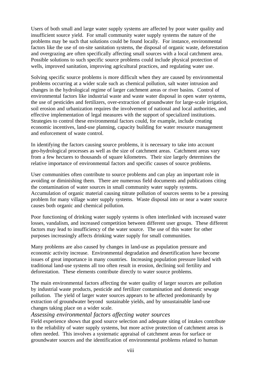Users of both small and large water supply systems are affected by poor water quality and insufficient source yield. For small community water supply systems the nature of the problems may be such that solutions could be found locally. For instance, environmental factors like the use of on-site sanitation systems, the disposal of organic waste, deforestation and overgrazing are often specifically affecting small sources with a local catchment area. Possible solutions to such specific source problems could include physical protection of wells, improved sanitation, improving agricultural practices, and regulating water use.

Solving specific source problems is more difficult when they are caused by environmental problems occurring at a wider scale such as chemical pollution, salt water intrusion and changes in the hydrological regime of larger catchment areas or river basins. Control of environmental factors like industrial waste and waste water disposal in open water systems, the use of pesticides and fertilizers, over-extraction of groundwater for large-scale irrigation, soil erosion and urbanization requires the involvement of national and local authorities, and effective implementation of legal measures with the support of specialized institutions. Strategies to control these environmental factors could, for example, include creating economic incentives, land-use planning, capacity building for water resource management and enforcement of waste control.

In identifying the factors causing source problems, it is necessary to take into account geo-hydrological processes as well as the size of catchment areas. Catchment areas vary from a few hectares to thousands of square kilometres. Their size largely determines the relative importance of environmental factors and specific causes of source problems.

User communities often contribute to source problems and can play an important role in avoiding or diminishing them. There are numerous field documents and publications citing the contamination of water sources in small community water supply systems. Accumulation of organic material causing nitrate pollution of sources seems to be a pressing problem for many village water supply systems. Waste disposal into or near a water source causes both organic and chemical pollution.

Poor functioning of drinking water supply systems is often interlinked with increased water losses, vandalism, and increased competition between different user groups. These different factors may lead to insufficiency of the water source. The use of this water for other purposes increasingly affects drinking water supply for small communities.

Many problems are also caused by changes in land-use as population pressure and economic activity increase. Environmental degradation and desertification have become issues of great importance in many countries. Increasing population pressure linked with traditional land-use systems all too often result in erosion, declining soil fertility and deforestation. These elements contribute directly to water source problems.

The main environmental factors affecting the water quality of larger sources are pollution by industrial waste products, pesticide and fertilizer contamination and domestic sewage pollution. The yield of larger water sources appears to be affected predominantly by extraction of groundwater beyond sustainable yields, and by unsustainable land-use changes taking place on a wider scale.

#### *Assessing environmental factors affecting water sources*

Field experience shows that good source selection and adequate siting of intakes contribute to the reliability of water supply systems, but more active protection of catchment areas is often needed. This involves a systematic appraisal of catchment areas for surface or groundwater sources and the identification of environmental problems related to human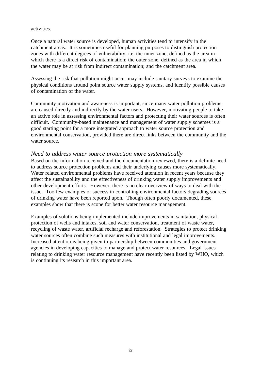activities.

Once a natural water source is developed, human activities tend to intensify in the catchment areas. It is sometimes useful for planning purposes to distinguish protection zones with different degrees of vulnerability, i.e. the inner zone, defined as the area in which there is a direct risk of contamination; the outer zone, defined as the area in which the water may be at risk from indirect contamination; and the catchment area.

Assessing the risk that pollution might occur may include sanitary surveys to examine the physical conditions around point source water supply systems, and identify possible causes of contamination of the water.

Community motivation and awareness is important, since many water pollution problems are caused directly and indirectly by the water users. However, motivating people to take an active role in assessing environmental factors and protecting their water sources is often difficult. Community-based maintenance and management of water supply schemes is a good starting point for a more integrated approach to water source protection and environmental conservation, provided there are direct links between the community and the water source.

#### *Need to address water source protection more systematically*

Based on the information received and the documentation reviewed, there is a definite need to address source protection problems and their underlying causes more systematically. Water related environmental problems have received attention in recent years because they affect the sustainability and the effectiveness of drinking water supply improvements and other development efforts. However, there is no clear overview of ways to deal with the issue. Too few examples of success in controlling environmental factors degrading sources of drinking water have been reported upon. Though often poorly documented, these examples show that there is scope for better water resource management.

Examples of solutions being implemented include improvements in sanitation, physical protection of wells and intakes, soil and water conservation, treatment of waste water, recycling of waste water, artificial recharge and reforestation. Strategies to protect drinking water sources often combine such measures with institutional and legal improvements. Increased attention is being given to partnership between communities and government agencies in developing capacities to manage and protect water resources. Legal issues relating to drinking water resource management have recently been listed by WHO, which is continuing its research in this important area.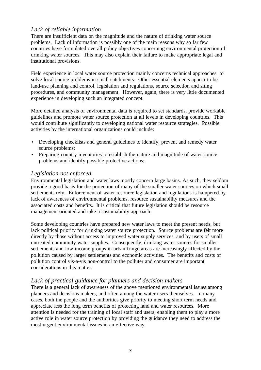#### *Lack of reliable information*

There are insufficient data on the magnitude and the nature of drinking water source problems. Lack of information is possibly one of the main reasons why so far few countries have formulated overall policy objectives concerning environmental protection of drinking water sources. This may also explain their failure to make appropriate legal and institutional provisions.

Field experience in local water source protection mainly concerns technical approaches to solve local source problems in small catchments. Other essential elements appear to be land-use planning and control, legislation and regulations, source selection and siting procedures, and community management. However, again, there is very little documented experience in developing such an integrated concept.

More detailed analysis of environmental data is required to set standards, provide workable guidelines and promote water source protection at all levels in developing countries. This would contribute significantly to developing national water resource strategies. Possible activities by the international organizations could include:

- Developing checklists and general guidelines to identify, prevent and remedy water source problems;
- Preparing country inventories to establish the nature and magnitude of water source problems and identify possible protective actions;

#### *Legislation not enforced*

Environmental legislation and water laws mostly concern large basins. As such, they seldom provide a good basis for the protection of many of the smaller water sources on which small settlements rely. Enforcement of water resource legislation and regulations is hampered by lack of awareness of environmental problems, resource sustainability measures and the associated costs and benefits. It is critical that future legislation should be resource management oriented and take a sustainability approach.

Some developing countries have prepared new water laws to meet the present needs, but lack political priority for drinking water source protection. Source problems are felt more directly by those without access to improved water supply services, and by users of small untreated community water supplies. Consequently, drinking water sources for smaller settlements and low-income groups in urban fringe areas are increasingly affected by the pollution caused by larger settlements and economic activities. The benefits and costs of pollution control vis-a-vis non-control to the polluter and consumer are important considerations in this matter.

#### *Lack of practical guidance for planners and decision-makers*

There is a general lack of awareness of the above mentioned environmental issues among planners and decisions makers, and often among the water users themselves. In many cases, both the people and the authorities give priority to meeting short term needs and appreciate less the long term benefits of protecting land and water resources. More attention is needed for the training of local staff and users, enabling them to play a more active role in water source protection by providing the guidance they need to address the most urgent environmental issues in an effective way.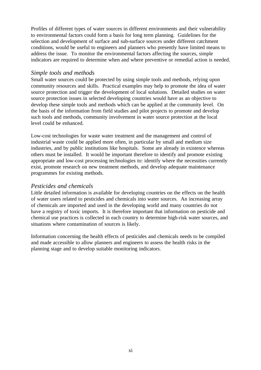Profiles of different types of water sources in different environments and their vulnerability to environmental factors could form a basis for long term planning. Guidelines for the selection and development of surface and sub-surface sources under different catchment conditions, would be useful to engineers and planners who presently have limited means to address the issue. To monitor the environmental factors affecting the sources, simple indicators are required to determine when and where preventive or remedial action is needed.

#### *Simple tools and methods*

Small water sources could be protected by using simple tools and methods, relying upon community resources and skills. Practical examples may help to promote the idea of water source protection and trigger the development of local solutions. Detailed studies on water source protection issues in selected developing countries would have as an objective to develop these simple tools and methods which can be applied at the community level. On the basis of the information from field studies and pilot projects to promote and develop such tools and methods, community involvement in water source protection at the local level could be enhanced.

Low-cost technologies for waste water treatment and the management and control of industrial waste could be applied more often, in particular by small and medium size industries, and by public institutions like hospitals. Some are already in existence whereas others must be installed. It would be important therefore to identify and promote existing appropriate and low-cost processing technologies to: identify where the necessities currently exist, promote research on new treatment methods, and develop adequate maintenance programmes for existing methods.

#### *Pesticides and chemicals*

Little detailed information is available for developing countries on the effects on the health of water users related to pesticides and chemicals into water sources. An increasing array of chemicals are imported and used in the developing world and many countries do not have a registry of toxic imports. It is therefore important that information on pesticide and chemical use practices is collected in each country to determine high-risk water sources, and situations where contamination of sources is likely.

Information concerning the health effects of pesticides and chemicals needs to be compiled and made accessible to allow planners and engineers to assess the health risks in the planning stage and to develop suitable monitoring indicators.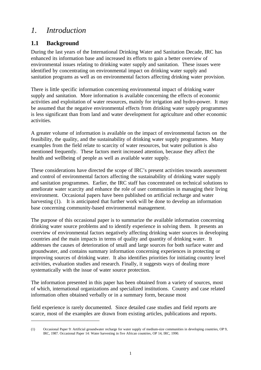### *1. Introduction*

### **1.1 Background**

During the last years of the International Drinking Water and Sanitation Decade, IRC has enhanced its information base and increased its efforts to gain a better overview of environmental issues relating to drinking water supply and sanitation. These issues were identified by concentrating on environmental impact on drinking water supply and sanitation programs as well as on environmental factors affecting drinking water provision.

There is little specific information concerning environmental impact of drinking water supply and sanitation. More information is available concerning the effects of economic activities and exploitation of water resources, mainly for irrigation and hydro-power. It may be assumed that the negative environmental effects from drinking water supply programmes is less significant than from land and water development for agriculture and other economic activities.

A greater volume of information is available on the impact of environmental factors on the feasibility, the quality, and the sustainability of drinking water supply programmes. Many examples from the field relate to scarcity of water resources, but water pollution is also mentioned frequently. These factors merit increased attention, because they affect the health and wellbeing of people as well as available water supply.

These considerations have directed the scope of IRC's present activities towards assessment and control of environmental factors affecting the sustainability of drinking water supply and sanitation programmes. Earlier, the IRC staff has concentrated on technical solutions to ameliorate water scarcity and enhance the role of user communities in managing their living environment. Occasional papers have been published on artificial recharge and water harvesting (1). It is anticipated that further work will be done to develop an information base concerning community-based environmental management.

The purpose of this occasional paper is to summarize the available information concerning drinking water source problems and to identify experience in solving them. It presents an overview of environmental factors negatively affecting drinking water sources in developing countries and the main impacts in terms of quality and quantity of drinking water. It addresses the causes of deterioration of small and large sources for both surface water and groundwater, and contains summary information concerning experiences in protecting or improving sources of drinking water. It also identifies priorities for initiating country level activities, evaluation studies and research. Finally, it suggests ways of dealing more systematically with the issue of water source protection.

The information presented in this paper has been obtained from a variety of sources, most of which, international organizations and specialized institutions. Country and case related information often obtained verbally or in a summary form, because most

field experience is rarely documented. Since detailed case studies and field reports are scarce, most of the examples are drawn from existing articles, publications and reports.

<sup>(1)</sup> Occasional Paper 9: Artificial groundwater recharge for water supply of medium-size communities in developing countries, OP 9, IRC, 1987. Occasional Paper 14: Water harvesting in five African countries, OP 14, IRC, 1990.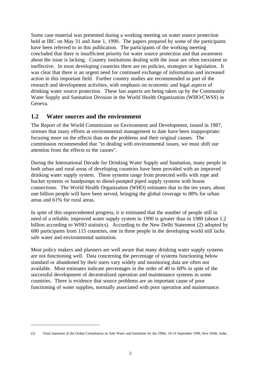Some case material was presented during a working meeting on water source protection held at IRC on May 31 and June 1, 1990. The papers prepared by some of the participants have been referred to in this publication. The participants of the working meeting concluded that there is insufficient priority for water source protection and that awareness about the issue is lacking. Country institutions dealing with the issue are often inexistent or ineffective. In most developing countries there are no policies, strategies or legislation. It was clear that there is an urgent need for continued exchange of information and increased action in this important field. Further country studies are recommended as part of the research and development activities, with emphasis on economic and legal aspects of drinking water source protection. These last aspects are being taken up by the Community Water Supply and Sanitation Division in the World Health Organization (WHO/CWSS) in Geneva.

#### **1.2 Water sources and the environment**

The Report of the World Commission on Environment and Development, issued in 1987, stresses that many efforts at environmental management to date have been inappropriate: focusing more on the effects than on the problems and their original causes. The commission recommended that "in dealing with environmental issues, we must shift our attention from the effects to the causes".

During the International Decade for Drinking Water Supply and Sanitation, many people in both urban and rural areas of developing countries have been provided with an improved drinking water supply system. These systems range from protected wells with rope and bucket systems or handpumps to diesel-pumped piped supply systems with house connections. The World Health Organization (WHO) estimates that in the ten years, about one billion people will have been served, bringing the global coverage to 88% for urban areas and 61% for rural areas.

In spite of this unprecedented progress, it is estimated that the number of people still in need of a reliable, improved water supply system in 1990 is greater than in 1980 (about 1.2 billion according to WHO statistics). According to the New Delhi Statement (2) adopted by 600 participants from 115 countries, one in three people in the developing world still lacks safe water and environmental sanitation.

Most policy makers and planners are well aware that many drinking water supply systems are not functioning well. Data concerning the percentage of systems functioning below standard or abandoned by their users vary widely and monitoring data are often not available. Most estimates indicate percentages in the order of 40 to 60% in spite of the successful development of decentralized operation and maintenance systems in some countries. There is evidence that source problems are an important cause of poor functioning of water supplies, normally associated with poor operation and maintenance.

<sup>(2)</sup> Final statement of the Global Consultation on Safe Water and Sanitation for the 1990s, 10-14 September 1990, New Delhi, India.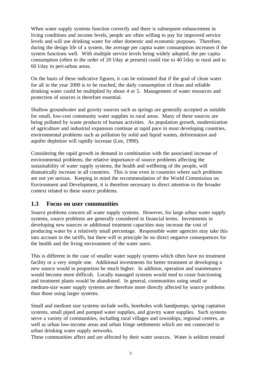When water supply systems function correctly and there is subsequent enhancement in living conditions and income levels, people are often willing to pay for improved service levels and will use drinking water for other domestic and economic purposes. Therefore, during the design life of a system, the average per capita water consumption increases if the system functions well. With multiple service levels being widely adopted, the per capita consumption (often in the order of 20 l/day at present) could rise to 40 l/day in rural and to 60 l/day in peri-urban areas.

On the basis of these indicative figures, it can be estimated that if the goal of clean water for all in the year 2000 is to be reached, the daily consumption of clean and reliable drinking water could be multiplied by about 4 or 5. Management of water resources and protection of sources is therefore essential.

Shallow groundwater and gravity sources such as springs are generally accepted as suitable for small, low-cost community water supplies in rural areas. Many of these sources are being polluted by waste products of human activities. As population growth, modernization of agriculture and industrial expansion continue at rapid pace in most developing countries, environmental problems such as pollution by solid and liquid wastes, deforestation and aquifer depletion will rapidly increase (Lee, 1990).

Considering the rapid growth in demand in combination with the associated increase of environmental problems, the relative importance of source problems affecting the sustainability of water supply systems, the health and wellbeing of the people, will dramatically increase in all countries. This is true even in countries where such problems are not yet serious. Keeping in mind the recommendation of the World Commission on Environment and Development, it is therefore necessary to direct attention to the broader context related to these source problems.

#### **1.3 Focus on user communities**

Source problems concern all water supply systems. However, for large urban water supply systems, source problems are generally considered in financial terms. Investments in developing new sources or additional treatment capacities may increase the cost of producing water by a relatively small percentage. Responsible water agencies may take this into account in the tariffs, but there will in principle be no direct negative consequences for the health and the living environment of the water users.

This is different in the case of smaller water supply systems which often have no treatment facility or a very simple one. Additional investments for better treatment or developing a new source would in proportion be much higher. In addition, operation and maintenance would become more difficult. Locally managed systems would tend to cease functioning and treatment plants would be abandoned. In general, communities using small or medium-size water supply systems are therefore more directly affected by source problems than those using larger systems.

Small and medium size systems include wells, boreholes with handpumps, spring captation systems, small piped and pumped water supplies, and gravity water supplies. Such systems serve a variety of communities, including rural villages and townships, regional centres, as well as urban low-income areas and urban fringe settlements which are not connected to urban drinking water supply networks.

These communities affect and are affected by their water sources. Water is seldom treated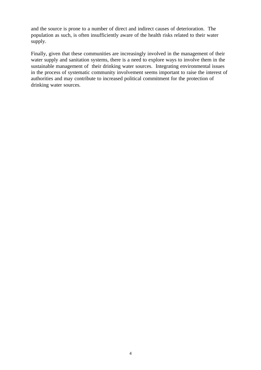and the source is prone to a number of direct and indirect causes of deterioration. The population as such, is often insufficiently aware of the health risks related to their water supply.

Finally, given that these communities are increasingly involved in the management of their water supply and sanitation systems, there is a need to explore ways to involve them in the sustainable management of their drinking water sources. Integrating environmental issues in the process of systematic community involvement seems important to raise the interest of authorities and may contribute to increased political commitment for the protection of drinking water sources.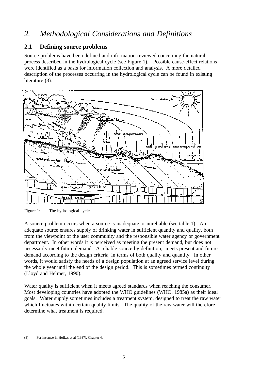## *2. Methodological Considerations and Definitions*

#### **2.1 Defining source problems**

Source problems have been defined and information reviewed concerning the natural process described in the hydrological cycle (see Figure 1). Possible cause-effect relations were identified as a basis for information collection and analysis. A more detailed description of the processes occurring in the hydrological cycle can be found in existing literature (3).



Figure 1: The hydrological cycle

A source problem occurs when a source is inadequate or unreliable (see table 1). An adequate source ensures supply of drinking water in sufficient quantity and quality, both from the viewpoint of the user community and the responsible water agency or government department. In other words it is perceived as meeting the present demand, but does not necessarily meet future demand. A reliable source by definition, meets present and future demand according to the design criteria, in terms of both quality and quantity. In other words, it would satisfy the needs of a design population at an agreed service level during the whole year until the end of the design period. This is sometimes termed continuity (Lloyd and Helmer, 1990).

Water quality is sufficient when it meets agreed standards when reaching the consumer. Most developing countries have adopted the WHO guidelines (WHO, 1985a) as their ideal goals. Water supply sometimes includes a treatment system, designed to treat the raw water which fluctuates within certain quality limits. The quality of the raw water will therefore determine what treatment is required.

<sup>(3)</sup> For instance in Hofkes et al (1987), Chapter 4.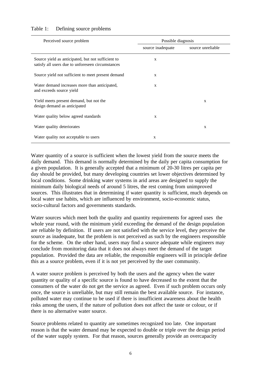| Perceived source problem                                                                                | Possible diagnosis |                   |  |  |
|---------------------------------------------------------------------------------------------------------|--------------------|-------------------|--|--|
|                                                                                                         | source inadequate  | source unreliable |  |  |
| Source yield as anticipated, but not sufficient to<br>satisfy all users due to unforeseen circumstances | $\mathbf{x}$       |                   |  |  |
| Source yield not sufficient to meet present demand                                                      | X                  |                   |  |  |
| Water demand increases more than anticipated,<br>and exceeds source yield                               | $\mathbf{X}$       |                   |  |  |
| Yield meets present demand, but not the<br>design demand as anticipated                                 |                    | X                 |  |  |
| Water quality below agreed standards                                                                    | X                  |                   |  |  |
| Water quality deteriorates                                                                              |                    | X                 |  |  |
| Water quality not acceptable to users                                                                   | X                  |                   |  |  |

#### Table 1: Defining source problems

Water quantity of a source is sufficient when the lowest yield from the source meets the daily demand. This demand is normally determined by the daily per capita consumption for a given population. It is generally accepted that a minimum of 20-30 litres per capita per day should be provided, but many developing countries set lower objectives determined by local conditions. Some drinking water systems in arid areas are designed to supply the minimum daily biological needs of around 5 litres, the rest coming from unimproved sources. This illustrates that in determining if water quantity is sufficient, much depends on local water use habits, which are influenced by environment, socio-economic status, socio-cultural factors and governments standards.

Water sources which meet both the quality and quantity requirements for agreed uses the whole year round, with the minimum yield exceeding the demand of the design population are reliable by definition. If users are not satisfied with the service level, they perceive the source as inadequate, but the problem is not perceived as such by the engineers responsible for the scheme. On the other hand, users may find a source adequate while engineers may conclude from monitoring data that it does not always meet the demand of the target population. Provided the data are reliable, the responsible engineers will in principle define this as a source problem, even if it is not yet perceived by the user community.

A water source problem is perceived by both the users and the agency when the water quantity or quality of a specific source is found to have decreased to the extent that the consumers of the water do not get the service as agreed. Even if such problem occurs only once, the source is unreliable, but may still remain the best available source. For instance, polluted water may continue to be used if there is insufficient awareness about the health risks among the users, if the nature of pollution does not affect the taste or colour, or if there is no alternative water source.

Source problems related to quantity are sometimes recognized too late. One important reason is that the water demand may be expected to double or triple over the design period of the water supply system. For that reason, sources generally provide an overcapacity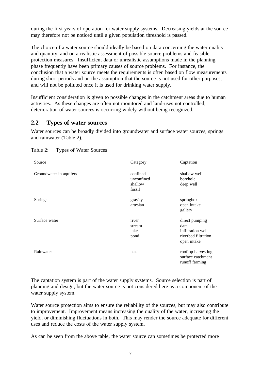during the first years of operation for water supply systems. Decreasing yields at the source may therefore not be noticed until a given population threshold is passed.

The choice of a water source should ideally be based on data concerning the water quality and quantity, and on a realistic assessment of possible source problems and feasible protection measures. Insufficient data or unrealistic assumptions made in the planning phase frequently have been primary causes of source problems. For instance, the conclusion that a water source meets the requirements is often based on flow measurements during short periods and on the assumption that the source is not used for other purposes, and will not be polluted once it is used for drinking water supply.

Insufficient consideration is given to possible changes in the catchment areas due to human activities. As these changes are often not monitored and land-uses not controlled, deterioration of water sources is occurring widely without being recognized.

#### **2.2 Types of water sources**

Water sources can be broadly divided into groundwater and surface water sources, springs and rainwater (Table 2).

| Source                  | Category                                    | Captation                                                                        |
|-------------------------|---------------------------------------------|----------------------------------------------------------------------------------|
| Groundwater in aquifers | confined<br>unconfined<br>shallow<br>fossil | shallow well<br>borehole<br>deep well                                            |
| <b>Springs</b>          | gravity<br>artesian                         | springbox<br>open intake<br>gallery                                              |
| Surface water           | river<br>stream<br>lake<br>pond             | direct pumping<br>dam<br>infiltration well<br>riverbed filtration<br>open intake |
| Rainwater               | n.a.                                        | rooftop harvesting<br>surface catchment<br>runoff farming                        |

| Table 2: | Types of Water Sources |  |
|----------|------------------------|--|
|          |                        |  |

The captation system is part of the water supply systems. Source selection is part of planning and design, but the water source is not considered here as a component of the water supply system.

Water source protection aims to ensure the reliability of the sources, but may also contribute to improvement. Improvement means increasing the quality of the water, increasing the yield, or diminishing fluctuations in both. This may render the source adequate for different uses and reduce the costs of the water supply system.

As can be seen from the above table, the water source can sometimes be protected more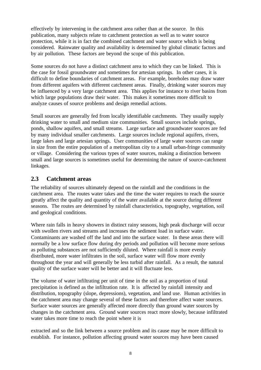effectively by intervening in the catchment area rather than at the source. In this publication, many subjects relate to catchment protection as well as to water source protection, while it is in fact the combined catchment and water source which is being considered. Rainwater quality and availability is determined by global climatic factors and by air pollution. These factors are beyond the scope of this publication.

Some sources do not have a distinct catchment area to which they can be linked. This is the case for fossil groundwater and sometimes for artesian springs. In other cases, it is difficult to define boundaries of catchment areas. For example, boreholes may draw water from different aquifers with different catchment areas. Finally, drinking water sources may be influenced by a very large catchment area. This applies for instance to river basins from which large populations draw their water. This makes it sometimes more difficult to analyze causes of source problems and design remedial actions.

Small sources are generally fed from locally identifiable catchments. They usually supply drinking water to small and medium size communities. Small sources include springs, ponds, shallow aquifers, and small streams. Large surface and groundwater sources are fed by many individual smaller catchments. Large sources include regional aquifers, rivers, large lakes and large artesian springs. User communities of large water sources can range in size from the entire population of a metropolitan city to a small urban-fringe community or village. Considering the various types of water sources, making a distinction between small and large sources is sometimes useful for determining the nature of source-catchment linkages.

#### **2.3 Catchment areas**

The reliability of sources ultimately depend on the rainfall and the conditions in the catchment area. The routes water takes and the time the water requires to reach the source greatly affect the quality and quantity of the water available at the source during different seasons. The routes are determined by rainfall characteristics, topography, vegetation, soil and geological conditions.

Where rain falls in heavy showers in distinct rainy seasons, high peak discharge will occur with swollen rivers and streams and increases the sediment load in surface water. Contaminants are washed off the land and into the surface water. In these areas there will normally be a low surface flow during dry periods and pollution will become more serious as polluting substances are not sufficiently diluted. Where rainfall is more evenly distributed, more water infiltrates in the soil, surface water will flow more evenly throughout the year and will generally be less turbid after rainfall. As a result, the natural quality of the surface water will be better and it will fluctuate less.

The volume of water infiltrating per unit of time in the soil as a proportion of total precipitation is defined as the infiltration rate. It is affected by rainfall intensity and distribution, topography (slope, depressions), vegetation, and land use. Human activities in the catchment area may change several of these factors and therefore affect water sources. Surface water sources are generally affected more directly than ground water sources by changes in the catchment area. Ground water sources react more slowly, because infiltrated water takes more time to reach the point where it is

extracted and so the link between a source problem and its cause may be more difficult to establish. For instance, pollution affecting ground water sources may have been caused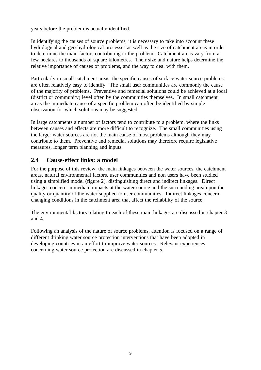years before the problem is actually identified.

In identifying the causes of source problems, it is necessary to take into account these hydrological and geo-hydrological processes as well as the size of catchment areas in order to determine the main factors contributing to the problem. Catchment areas vary from a few hectares to thousands of square kilometres. Their size and nature helps determine the relative importance of causes of problems, and the way to deal with them.

Particularly in small catchment areas, the specific causes of surface water source problems are often relatively easy to identify. The small user communities are commonly the cause of the majority of problems. Preventive and remedial solutions could be achieved at a local (district or community) level often by the communities themselves. In small catchment areas the immediate cause of a specific problem can often be identified by simple observation for which solutions may be suggested.

In large catchments a number of factors tend to contribute to a problem, where the links between causes and effects are more difficult to recognize. The small communities using the larger water sources are not the main cause of most problems although they may contribute to them. Preventive and remedial solutions may therefore require legislative measures, longer term planning and inputs.

#### **2.4 Cause-effect links: a model**

For the purpose of this review, the main linkages between the water sources, the catchment areas, natural environmental factors, user communities and non users have been studied using a simplified model (figure 2), distinguishing direct and indirect linkages. Direct linkages concern immediate impacts at the water source and the surrounding area upon the quality or quantity of the water supplied to user communities. Indirect linkages concern changing conditions in the catchment area that affect the reliability of the source.

The environmental factors relating to each of these main linkages are discussed in chapter 3 and 4.

Following an analysis of the nature of source problems, attention is focused on a range of different drinking water source protection interventions that have been adopted in developing countries in an effort to improve water sources. Relevant experiences concerning water source protection are discussed in chapter 5.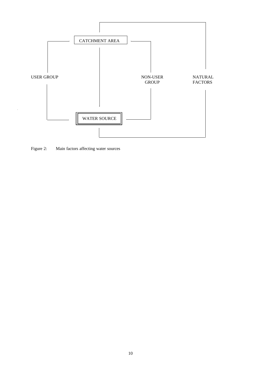

Figure 2: Main factors affecting water sources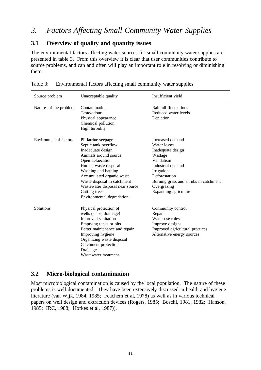### *3. Factors Affecting Small Community Water Supplies*

#### **3.1 Overview of quality and quantity issues**

The environmental factors affecting water sources for small community water supplies are presented in table 3. From this overview it is clear that user communities contribute to source problems, and can and often will play an important role in resolving or diminishing them.

| Source problem        | Unacceptable quality                                                                                                                                                                                                                                                                                      | Insufficient yield                                                                                                                                                                                                 |
|-----------------------|-----------------------------------------------------------------------------------------------------------------------------------------------------------------------------------------------------------------------------------------------------------------------------------------------------------|--------------------------------------------------------------------------------------------------------------------------------------------------------------------------------------------------------------------|
| Nature of the problem | Contamination<br>Taste/odour<br>Physical appearance<br>Chemical pollution<br>High turbidity                                                                                                                                                                                                               | <b>Rainfall fluctuations</b><br>Reduced water levels<br>Depletion                                                                                                                                                  |
| Environmental factors | Pit latrine seepage<br>Septic tank overflow<br>Inadequate design<br>Animals around source<br>Open defaecation<br>Human waste disposal<br>Washing and bathing<br>Accumulated organic waste<br>Waste disposal in catchment<br>Wastewater disposal near source<br>Cutting trees<br>Environmental degradation | Increased demand<br>Water losses<br>Inadequate design<br>Wastage<br>Vandalism<br>Industrial demand<br>Irrigation<br>Deforestation<br>Burning grass and shrubs in catchment<br>Overgrazing<br>Expanding agriculture |
| Solutions             | Physical protection of<br>wells (slabs, drainage)<br>Improved sanitation<br>Emptying tanks or pits<br>Better maintenance and repair<br>Improving hygiene<br>Organizing waste disposal<br>Catchment protection<br>Drainage<br>Wastewater treatment                                                         | Community control<br>Repair<br>Water use rules<br>Improve designs<br>Improved agricultural practices<br>Alternative energy sources                                                                                 |

| Table 3: Environmental factors affecting small community water supplies |  |  |  |
|-------------------------------------------------------------------------|--|--|--|
|                                                                         |  |  |  |

#### **3.2 Micro-biological contamination**

Most microbiological contamination is caused by the local population. The nature of these problems is well documented. They have been extensively discussed in health and hygiene literature (van Wijk, 1984, 1985; Feachem et al, 1978) as well as in various technical papers on well design and extraction devices (Rogers, 1985; Boschi, 1981, 1982; Hanson, 1985; IRC, 1988; Hofkes et al, 1987)).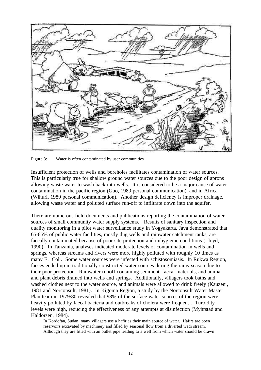

Figure 3: Water is often contaminated by user communities

Insufficient protection of wells and boreholes facilitates contamination of water sources. This is particularly true for shallow ground water sources due to the poor design of aprons allowing waste water to wash back into wells. It is considered to be a major cause of water contamination in the pacific region (Guo, 1989 personal communication), and in Africa (Wihuri, 1989 personal communication). Another design deficiency is improper drainage, allowing waste water and polluted surface run-off to infiltrate down into the aquifer.

There are numerous field documents and publications reporting the contamination of water sources of small community water supply systems. Results of sanitary inspection and quality monitoring in a pilot water surveillance study in Yogyakarta, Java demonstrated that 65-85% of public water facilities, mostly dug wells and rainwater catchment tanks, are faecally contaminated because of poor site protection and unhygienic conditions (Lloyd, 1990). In Tanzania, analyses indicated moderate levels of contamination in wells and springs, whereas streams and rivers were more highly polluted with roughly 10 times as many E. Coli. Some water sources were infected with schistosomiasis. In Rukwa Region, faeces ended up in traditionally constructed water sources during the rainy season due to their poor protection. Rainwater runoff containing sediment, faecal materials, and animal and plant debris drained into wells and springs. Additionally, villagers took baths and washed clothes next to the water source, and animals were allowed to drink freely (Kauzeni, 1981 and Norconsult, 1981). In Kigoma Region, a study by the Norconsult Water Master Plan team in 1979/80 revealed that 98% of the surface water sources of the region were heavily polluted by faecal bacteria and outbreaks of cholera were frequent . Turbidity levels were high, reducing the effectiveness of any attempts at disinfection (Myhrstad and Haldorsen, 1984).

In Kordofan, Sudan, many villagers use a hafir as their main source of water. Hafirs are open reservoirs excavated by machinery and filled by seasonal flow from a diverted wadi stream. Although they are fitted with an outlet pipe leading to a well from which water should be drawn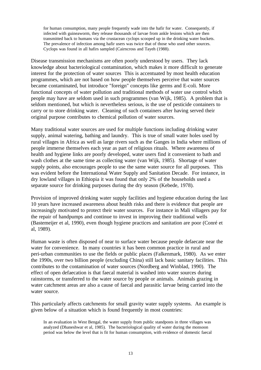for human consumption, many people frequently wade into the hafir for water. Consequently, if infected with guineaworm, they release thousands of larvae from ankle lesions which are then transmitted back to humans via the crustacean cyclops scooped up in the drinking water buckets. The prevalence of infection among hafir users was twice that of those who used other sources. Cyclops was found in all hafirs sampled (Cairncross and Tayeh (1988).

Disease transmission mechanisms are often poorly understood by users. They lack knowledge about bacteriological contamination, which makes it more difficult to generate interest for the protection of water sources This is accentuated by most health education programmes, which are not based on how people themselves perceive that water sources became contaminated, but introduce "foreign" concepts like germs and E-coli. More functional concepts of water pollution and traditional methods of water use control which people may have are seldom used in such programmes (van Wijk, 1985). A problem that is seldom mentioned, but which is nevertheless serious, is the use of pesticide containers to carry or to store drinking water. Cleaning of such containers after having served their original purpose contributes to chemical pollution of water sources.

Many traditional water sources are used for multiple functions including drinking water supply, animal watering, bathing and laundry. This is true of small water holes used by rural villages in Africa as well as large rivers such as the Ganges in India where millions of people immerse themselves each year as part of religious rituals. Where awareness of health and hygiene links are poorly developed, water users find it convenient to bath and wash clothes at the same time as collecting water (van Wijk, 1985). Shortage of water supply points, also encourages people to use the same water source for all purposes. This was evident before the International Water Supply and Sanitation Decade. For instance, in dry lowland villages in Ethiopia it was found that only 2% of the households used a separate source for drinking purposes during the dry season (Kebede, 1978).

Provision of improved drinking water supply facilities and hygiene education during the last 10 years have increased awareness about health risks and there is evidence that people are increasingly motivated to protect their water sources. For instance in Mali villagers pay for the repair of handpumps and continue to invest in improving their traditional wells (Bastemeijer et al, 1990), even though hygiene practices and sanitation are poor (Conré et al, 1989).

Human waste is often disposed of near to surface water because people defaecate near the water for convenience. In many countries it has been common practice in rural and peri-urban communities to use the fields or public places (Falkenmark, 1980). As we enter the 1990s, over two billion people (excluding China) still lack basic sanitary facilities. This contributes to the contamination of water sources (Nordberg and Winblad, 1990). The effect of open defaecation is that faecal material is washed into water sources during rainstorms, or transferred to the water source by people or animals. Animals grazing in water catchment areas are also a cause of faecal and parasitic larvae being carried into the water source.

This particularly affects catchments for small gravity water supply systems. An example is given below of a situation which is found frequently in most countries:

In an evaluation in West Bengal, the water supply from public standposts in three villages was analyzed (Dhaneshwar et al, 1985). The bacteriological quality of water during the monsoon period was below the level that is fit for human consumption, with evidence of domestic faecal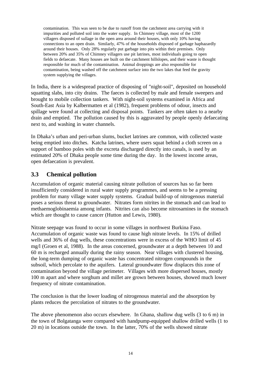contamination. This was seen to be due to runoff from the catchment area carrying with it impurities and polluted soil into the water supply. In Chimney village, most of the 1200 villagers disposed of sullage in the open area around their houses, with only 10% having connections to an open drain. Similarly, 47% of the households disposed of garbage haphazardly around their houses. Only 28% regularly put garbage into pits within their premises. Only between 20% and 35% of Chimney villagers use pit latrines, most individuals going to open fields to defaecate. Many houses are built on the catchment hillslopes, and their waste is thought responsible for much of the contamination. Animal droppings are also responsible for contamination, being washed off the catchment surface into the two lakes that feed the gravity system supplying the villages.

In India, there is a widespread practice of disposing of "night-soil", deposited on household squatting slabs, into city drains. The faeces is collected by male and female sweepers and brought to mobile collection tankers. With night-soil systems examined in Africa and South-East Asia by Kalbermatten et al (1982), frequent problems of odour, insects and spillage were found at collecting and disposal points. Tankers are often taken to a nearby drain and emptied. The pollution caused by this is aggravated by people openly defaecating next to, and washing in water channels.

In Dhaka's urban and peri-urban slums, bucket latrines are common, with collected waste being emptied into ditches. Katcha latrines, where users squat behind a cloth screen on a support of bamboo poles with the excreta discharged directly into canals, is used by an estimated 20% of Dhaka people some time during the day. In the lowest income areas, open defaecation is prevalent.

### **3.3 Chemical pollution**

Accumulation of organic material causing nitrate pollution of sources has so far been insufficiently considered in rural water supply programmes, and seems to be a pressing problem for many village water supply systems. Gradual build-up of nitrogenous material poses a serious threat to groundwater. Nitrates form nitrites in the stomach and can lead to methaemoglobinaemia among infants. Nitrites can also become nitrosamines in the stomach which are thought to cause cancer (Hutton and Lewis, 1980).

Nitrate seepage was found to occur in some villages in northwest Burkina Faso. Accumulation of organic waste was found to cause high nitrate levels. In 15% of drilled wells and 36% of dug wells, these concentrations were in excess of the WHO limit of 45 mg/l (Groen et al, 1988). In the areas concerned, groundwater at a depth between 10 and 60 m is recharged annually during the rainy season. Near villages with clustered housing, the long-term dumping of organic waste has concentrated nitrogen compounds in the subsoil, which percolate to the aquifers. Lateral groundwater flow displaces this zone of contamination beyond the village perimeter. Villages with more dispersed houses, mostly 100 m apart and where sorghum and millet are grown between houses, showed much lower frequency of nitrate contamination.

The conclusion is that the lower loading of nitrogenous material and the absorption by plants reduces the percolation of nitrates to the groundwater.

The above phenomenon also occurs elsewhere. In Ghana, shallow dug wells (3 to 6 m) in the town of Bolgatanga were compared with handpump-equipped shallow drilled wells (1 to 20 m) in locations outside the town. In the latter, 70% of the wells showed nitrate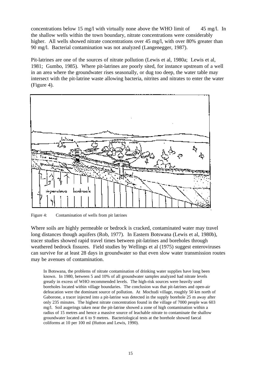concentrations below 15 mg/l with virtually none above the WHO limit of 45 mg/l. In the shallow wells within the town boundary, nitrate concentrations were considerably higher. All wells showed nitrate concentrations over 45 mg/l, with over 80% greater than 90 mg/l. Bacterial contamination was not analyzed (Langenegger, 1987).

Pit-latrines are one of the sources of nitrate pollution (Lewis et al, 1980a; Lewis et al, 1981; Gumbo, 1985). Where pit-latrines are poorly sited, for instance upstream of a well in an area where the groundwater rises seasonally, or dug too deep, the water table may intersect with the pit-latrine waste allowing bacteria, nitrites and nitrates to enter the water (Figure 4).



Figure 4: Contamination of wells from pit latrines

Where soils are highly permeable or bedrock is cracked, contaminated water may travel long distances though aquifers (Rob, 1977). In Eastern Botswana (Lewis et al, 1980b), tracer studies showed rapid travel times between pit-latrines and boreholes through weathered bedrock fissures. Field studies by Wellings et al (1975) suggest enteroviruses can survive for at least 28 days in groundwater so that even slow water transmission routes may be avenues of contamination.

In Botswana, the problems of nitrate contamination of drinking water supplies have long been known. In 1980, between 5 and 10% of all groundwater samples analyzed had nitrate levels greatly in excess of WHO recommended levels. The high-risk sources were heavily used boreholes located within village boundaries. The conclusion was that pit-latrines and open-air defeacation were the dominant source of pollution. At Mochudi village, roughly 50 km north of Gaborone, a tracer injected into a pit-latrine was detected in the supply borehole 25 m away after only 235 minutes. The highest nitrate concentration found in the village of 7000 people was 603 mg/l. Soil augerings taken near the pit-latrine showed a zone of high contamination within a radius of 15 metres and hence a massive source of leachable nitrate to contaminate the shallow groundwater located at 6 to 9 metres. Bacteriological tests at the borehole showed faecal coliforms at 10 per 100 ml (Hutton and Lewis, 1990).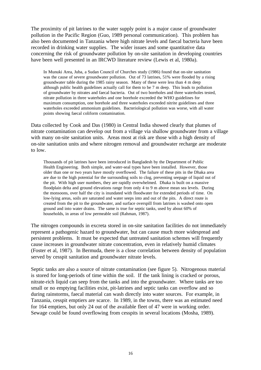The proximity of pit latrines to the water supply point is a major cause of groundwater pollution in the Pacific Region (Guo, 1989 personal communication). This problem has also been documented in Tanzania where high nitrate levels and faecal bacteria have been recorded in drinking water supplies. The wider issues and some quantitative data concerning the risk of groundwater pollution by on-site sanitation in developing countries have been well presented in an IRCWD literature review (Lewis et al, 1980a).

In Munuki Area, Juba, a Sudan Council of Churches study (1986) found that on-site sanitation was the cause of severe groundwater pollution. Out of 73 latrines, 51% were flooded by a rising groundwater table during the 1985 rainy season. Many of these were less than 4 m deep although public health guidelines actually call for them to be 7 m deep. This leads to pollution of groundwater by nitrates and faecal bacteria. Out of two boreholes and three waterholes tested, nitrate pollution in three waterholes and one borehole exceeded the WHO guidelines for maximum consumption, one borehole and three waterholes exceeded nitrite guidelines and three waterholes exceeded ammonium guidelines. Bacteriological pollution was worse, with all water points showing faecal coliform contamination.

Data collected by Cook and Das (1980) in Central India showed clearly that plumes of nitrate contamination can develop out from a village via shallow groundwater from a village with many on-site sanitation units. Areas most at risk are those with a high density of on-site sanitation units and where nitrogen removal and groundwater recharge are moderate to low.

Thousands of pit latrines have been introduced in Bangladesh by the Department of Public Health Engineering. Both simple, and water-seal types have been installed. However, those older than one or two years have mostly overflowed. The failure of these pits in the Dhaka area are due to the high potential for the surrounding soils to clog, preventing seepage of liquid out of the pit. With high user numbers, they are rapidly overwhelmed. Dhaka is built on a massive floodplain delta and ground elevations range from only 4 to 9 m above mean sea levels. During the monsoons, over half the city is inundated with floodwater for extended periods of time. On low-lying areas, soils are saturated and water seeps into and out of the pits. A direct route is created from the pit to the groundwater, and surface overspill from latrines is washed onto open ground and into water drains. The same is true for septic tanks, used by about 60% of households, in areas of low permeable soil (Rahman, 1987).

The nitrogen compounds in excreta stored in on-site sanitation facilities do not immediately represent a pathogenic hazard to groundwater, but can cause much more widespread and persistent problems. It must be expected that untreated sanitation schemes will frequently cause increases in groundwater nitrate concentration, even in relatively humid climates (Foster et al, 1987). In Bermuda, there is a close correlation between density of population served by cesspit sanitation and groundwater nitrate levels.

Septic tanks are also a source of nitrate contamination (see figure 5). Nitrogenous material is stored for long-periods of time within the soil. If the tank lining is cracked or porous, nitrate-rich liquid can seep from the tanks and into the groundwater. Where tanks are too small or no emptying facilities exist, pit-latrines and septic tanks can overflow and so during rainstorms, faecal material can wash directly into water sources. For example, in Tanzania, cesspit emptiers are scarce. In 1989, in the towns, there was an estimated need for 164 emptiers, but only 24 out of the available fleet of 47 were in working order. Sewage could be found overflowing from cesspits in several locations (Mosha, 1989).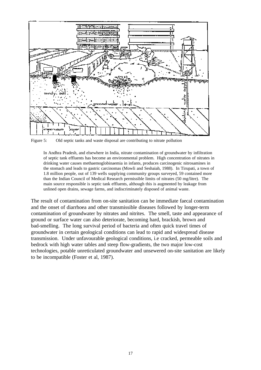

Figure 5: Old septic tanks and waste disposal are contributing to nitrate pollution

In Andhra Pradesh, and elsewhere in India, nitrate contamination of groundwater by infiltration of septic tank effluents has become an environmental problem. High concentration of nitrates in drinking water causes methaemoglobinaemia in infants, produces carcinogenic nitrosamines in the stomach and leads to gastric carcinomas (Mowli and Seshaiah, 1988). In Tirupati, a town of 1.8 million people, out of 139 wells supplying community groups surveyed, 59 contained more than the Indian Council of Medical Research permissible limits of nitrates (50 mg/litre). The main source responsible is septic tank effluents, although this is augmented by leakage from unlined open drains, sewage farms, and indiscriminately disposed of animal waste.

The result of contamination from on-site sanitation can be immediate faecal contamination and the onset of diarrhoea and other transmissible diseases followed by longer-term contamination of groundwater by nitrates and nitrites. The smell, taste and appearance of ground or surface water can also deteriorate, becoming hard, brackish, brown and bad-smelling. The long survival period of bacteria and often quick travel times of groundwater in certain geological conditions can lead to rapid and widespread disease transmission. Under unfavourable geological conditions, i.e cracked, permeable soils and bedrock with high water tables and steep flow-gradients, the two major low-cost technologies, potable unreticulated groundwater and unsewered on-site sanitation are likely to be incompatible (Foster et al, 1987).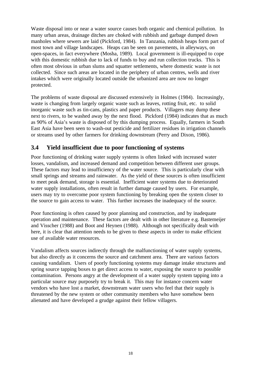Waste disposal into or near a water source causes both organic and chemical pollution. In many urban areas, drainage ditches are choked with rubbish and garbage dumped down manholes where sewers are laid (Pickford, 1984). In Tanzania, rubbish heaps form part of most town and village landscapes. Heaps can be seen on pavements, in alleyways, on open-spaces, in fact everywhere (Mosha, 1989). Local government is ill-equipped to cope with this domestic rubbish due to lack of funds to buy and run collection trucks. This is often most obvious in urban slums and squatter settlements, where domestic waste is not collected. Since such areas are located in the periphery of urban centres, wells and river intakes which were originally located outside the urbanized area are now no longer protected.

The problems of waste disposal are discussed extensively in Holmes (1984). Increasingly, waste is changing from largely organic waste such as leaves, rotting fruit, etc. to solid inorganic waste such as tin-cans, plastics and paper products. Villagers may dump these next to rivers, to be washed away by the next flood. Pickford (1984) indicates that as much as 90% of Asia's waste is disposed of by this dumping process. Equally, farmers in South East Asia have been seen to wash-out pesticide and fertilizer residues in irrigation channels or streams used by other farmers for drinking downstream (Perry and Dixon, 1986).

#### **3.4 Yield insufficient due to poor functioning of systems**

Poor functioning of drinking water supply systems is often linked with increased water losses, vandalism, and increased demand and competition between different user groups. These factors may lead to insufficiency of the water source. This is particularly clear with small springs and streams and rainwater. As the yield of these sources is often insufficient to meet peak demand, storage is essential. Inefficient water systems due to deteriorated water supply installations, often result in further damage caused by users. For example, users may try to overcome poor system functioning by breaking open the system closer to the source to gain access to water. This further increases the inadequacy of the source.

Poor functioning is often caused by poor planning and construction, and by inadequate operation and maintenance. These factors are dealt with in other literature e.g. Bastemeijer and Visscher (1988) and Boot and Heynen (1988). Although not specifically dealt with here, it is clear that attention needs to be given to these aspects in order to make efficient use of available water resources.

Vandalism affects sources indirectly through the malfunctioning of water supply systems, but also directly as it concerns the source and catchment area. There are various factors causing vandalism. Users of poorly functioning systems may damage intake structures and spring source tapping boxes to get direct access to water, exposing the source to possible contamination. Persons angry at the development of a water supply system tapping into a particular source may purposely try to break it. This may for instance concern water vendors who have lost a market, downstream water users who feel that their supply is threatened by the new system or other community members who have somehow been alienated and have developed a grudge against their fellow villagers.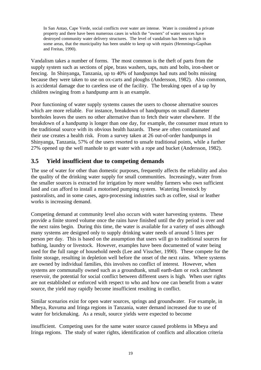In San Antao, Cape Verde, social conflicts over water are intense. Water is considered a private property and there have been numerous cases in which the "owners" of water sources have destroyed community water delivery structures. The level of vandalism has been so high in some areas, that the municipality has been unable to keep up with repairs (Hemmings-Gapihan and Freitas, 1990).

Vandalism takes a number of forms. The most common is the theft of parts from the supply system such as sections of pipe, brass washers, taps, nuts and bolts, iron-sheet or fencing. In Shinyanga, Tanzania, up to 40% of handpumps had nuts and bolts missing because they were taken to use on ox-carts and ploughs (Andersson, 1982). Also common, is accidental damage due to careless use of the facility. The breaking open of a tap by children swinging from a handpump arm is an example.

Poor functioning of water supply systems causes the users to choose alternative sources which are more reliable. For instance, breakdown of handpumps on small diameter boreholes leaves the users no other alternative than to fetch their water elsewhere. If the breakdown of a handpump is longer than one day, for example, the consumer must return to the traditional source with its obvious health hazards. These are often contaminated and their use creates a health risk. From a survey taken at 26 out-of-order handpumps in Shinyanga, Tanzania, 57% of the users resorted to unsafe traditional points, while a further 27% opened up the well manhole to get water with a rope and bucket (Andersson, 1982).

### **3.5 Yield insufficient due to competing demands**

The use of water for other than domestic purposes, frequently affects the reliability and also the quality of the drinking water supply for small communities. Increasingly, water from the smaller sources is extracted for irrigation by more wealthy farmers who own sufficient land and can afford to install a motorised pumping system. Watering livestock by pastoralists, and in some cases, agro-processing industries such as coffee, sisal or leather works is increasing demand.

Competing demand at community level also occurs with water harvesting systems. These provide a finite stored volume once the rains have finished until the dry period is over and the next rains begin. During this time, the water is available for a variety of uses although many systems are designed only to supply drinking water needs of around 5 litres per person per day. This is based on the assumption that users will go to traditional sources for bathing, laundry or livestock. However, examples have been documented of water being used for the full range of household needs (Lee and Visscher, 1990). These compete for the finite storage, resulting in depletion well before the onset of the next rains. Where systems are owned by individual families, this involves no conflict of interest. However, when systems are communally owned such as a groundtank, small earth-dam or rock catchment reservoir, the potential for social conflict between different users is high. When user rights are not established or enforced with respect to who and how one can benefit from a water source, the yield may rapidly become insufficient resulting in conflict.

Similar scenarios exist for open water sources, springs and groundwater. For example, in Mbeya, Ruvuma and Iringa regions in Tanzania, water demand increased due to use of water for brickmaking. As a result, source yields were expected to become

insufficient. Competing uses for the same water source caused problems in Mbeya and Iringa regions. The study of water rights, identification of conflicts and allocation criteria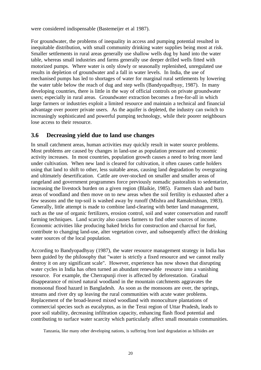were considered indispensable (Bastemeijer et al 1987).

For groundwater, the problems of inequality in access and pumping potential resulted in inequitable distribution, with small community drinking water supplies being most at risk. Smaller settlements in rural areas generally use shallow wells dug by hand into the water table, whereas small industries and farms generally use deeper drilled wells fitted with motorized pumps. Where water is only slowly or seasonally replenished, unregulated use results in depletion of groundwater and a fall in water levels. In India, the use of mechanised pumps has led to shortages of water for marginal rural settlements by lowering the water table below the reach of dug and step wells (Bandyopadhyay, 1987). In many developing countries, there is little in the way of official controls on private groundwater users; especially in rural areas. Groundwater extraction becomes a free-for-all in which large farmers or industries exploit a limited resource and maintain a technical and financial advantage over poorer private users. As the aquifer is depleted, the industry can switch to increasingly sophisticated and powerful pumping technology, while their poorer neighbours lose access to their resource.

#### **3.6 Decreasing yield due to land use changes**

In small catchment areas, human activities may quickly result in water source problems. Most problems are caused by changes in land-use as population pressure and economic activity increases. In most countries, population growth causes a need to bring more land under cultivation. When new land is cleared for cultivation, it often causes cattle holders using that land to shift to other, less suitable areas, causing land degradation by overgrazing and ultimately desertification. Cattle are over-stocked on smaller and smaller areas of rangeland and government programmes force previously nomadic pastoralists to sedentarize, increasing the livestock burden on a given region (Blaikie, 1985). Farmers slash and burn areas of woodland and then move on to new areas when the soil fertility is exhausted after a few seasons and the top-soil is washed away by runoff (Mishra and Ramakrishnan, 1983). Generally, little attempt is made to combine land-clearing with better land management, such as the use of organic fertilizers, erosion control, soil and water conservation and runoff farming techniques. Land scarcity also causes farmers to find other sources of income. Economic activities like producing baked bricks for construction and charcoal for fuel, contribute to changing land-use, alter vegetation cover, and subsequently affect the drinking water sources of the local population.

According to Bandyopadhyay (1987), the water resource management strategy in India has been guided by the philosophy that "water is strictly a fixed resource and we cannot really destroy it on any significant scale". However, experience has now shown that disrupting water cycles in India has often turned an abundant renewable resource into a vanishing resource. For example, the Cherrapunji river is affected by deforestation. Gradual disappearance of mixed natural woodland in the mountain catchments aggravates the monsoonal flood hazard in Bangladesh. As soon as the monsoons are over, the springs, streams and river dry up leaving the rural communities with acute water problems. Replacement of the broad-leaved mixed woodland with monoculture plantations of commercial species such as eucalyptus, as in the Terai region of Uttar Pradesh, leads to poor soil stability, decreasing infiltration capacity, enhancing flash flood potential and contributing to surface water scarcity which particularly affect small mountain communities.

Tanzania, like many other developing nations, is suffering from land degradation as hillsides are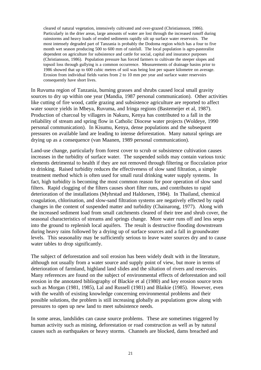cleared of natural vegetation, intensively cultivated and over-grazed (Christiansson, 1986). Particularly in the drier areas, large amounts of water are lost through the increased runoff during rainstorms and heavy loads of eroded sediments rapidly silt up surface water reservoirs. The most intensely degraded part of Tanzania is probably the Dodoma region which has a four to five month wet season producing 500 to 600 mm of rainfall. The local population is agro-pastoralist dependent on agriculture for subsistence and cattle for social, capital and insurance purposes (Christiansson, 1986). Population pressure has forced farmers to cultivate the steeper slopes and topsoil loss through gullying is a common occurrence. Measurements of drainage basins prior to 1986 showed that up to 600 cubic metres of soil was being lost per square kilometre on average. Erosion from individual fields varies from 2 to 10 mm per year and surface water reservoirs consequently have short lives.

In Ruvuma region of Tanzania, burning grasses and shrubs caused local small gravity sources to dry up within one year (Mandia, 1987 personal communication). Other activities like cutting of fire wood, cattle grazing and subsistence agriculture are reported to affect water source yields in Mbeya, Ruvuma, and Iringa regions (Bastemeijer et al, 1987). Production of charcoal by villagers in Nakuru, Kenya has contributed to a fall in the reliability of stream and spring flow in Catholic Diocese water projects (Woldeye, 1990 personal communication). In Kisumu, Kenya, dense populations and the subsequent pressures on available land are leading to intense deforestation. Many natural springs are drying up as a consequence (van Maanen, 1989 personal communication).

Land-use change, particularly from forest cover to scrub or subsistence cultivation causes increases in the turbidity of surface water. The suspended solids may contain various toxic elements detrimental to health if they are not removed through filtering or flocculation prior to drinking. Raised turbidity reduces the effectiveness of slow sand filtration, a simple treatment method which is often used for small rural drinking water supply systems. In fact, high turbidity is becoming the most common reason for poor operation of slow sand filters. Rapid clogging of the filters causes short filter runs, and contributes to rapid deterioration of the installations (Myhrstad and Haldorsen, 1984). In Thailand, chemical coagulation, chlorination, and slow-sand filtration systems are negatively effected by rapid changes in the content of suspended matter and turbidity (Chainarong, 1977). Along with the increased sediment load from small catchments cleared of their tree and shrub cover, the seasonal characteristics of streams and springs change. More water runs off and less seeps into the ground to replenish local aquifers. The result is destructive flooding downstream during heavy rains followed by a drying up of surface sources and a fall in groundwater levels. This seasonality may be sufficiently serious to leave water sources dry and to cause water tables to drop significantly.

The subject of deforestation and soil erosion has been widely dealt with in the literature, although not usually from a water source and supply point of view, but more in terms of deterioration of farmland, highland land slides and the siltation of rivers and reservoirs. Many references are found on the subject of environmental effects of deforestation and soil erosion in the annotated bibliography of Blackie et al (1980) and key erosion source texts such as Morgan (1981, 1985), Lal and Russell (1981) and Blaikie (1985). However, even with the wealth of existing knowledge concerning environmental problems and their possible solutions, the problem is still increasing globally as populations grow along with pressures to open up new land to meet subsistence needs.

In some areas, landslides can cause source problems. These are sometimes triggered by human activity such as mining, deforestation or road construction as well as by natural causes such as earthquakes or heavy storms. Channels are blocked, dams breached and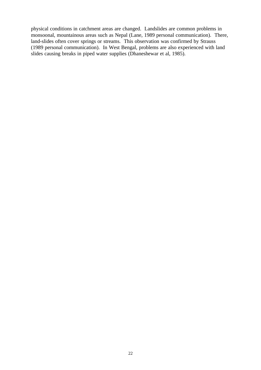physical conditions in catchment areas are changed. Landslides are common problems in monsoonal, mountainous areas such as Nepal (Lane, 1989 personal communication). There, land-slides often cover springs or streams. This observation was confirmed by Strauss (1989 personal communication). In West Bengal, problems are also experienced with land slides causing breaks in piped water supplies (Dhaneshewar et al, 1985).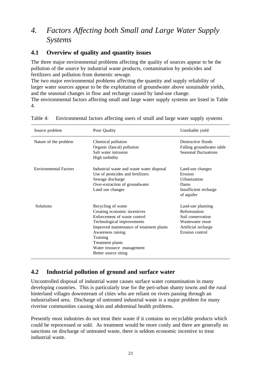## *4. Factors Affecting both Small and Large Water Supply Systems*

#### **4.1 Overview of quality and quantity issues**

4.

The three major environmental problems affecting the quality of sources appear to be the pollution of the source by industrial waste products, contamination by pesticides and fertilizers and pollution from domestic sewage.

The two major environmental problems affecting the quantity and supply reliability of larger water sources appear to be the exploitation of groundwater above sustainable yields, and the seasonal changes in flow and recharge caused by land-use change. The environmental factors affecting small and large water supply systems are listed in Table

| Source problem               | Poor Quality                                                                                                                                                                                                                                                           | Unreliable yield                                                                                                      |
|------------------------------|------------------------------------------------------------------------------------------------------------------------------------------------------------------------------------------------------------------------------------------------------------------------|-----------------------------------------------------------------------------------------------------------------------|
| Nature of the problem        | Chemical pollution<br>Organic (faecal) pollution<br>Salt water intrusion<br>High turbidity                                                                                                                                                                             | Destructive floods<br>Falling groundwater table<br>Seasonal fluctuations                                              |
| <b>Environmental Factors</b> | Industrial waste and waste water disposal<br>Use of pesticides and fertilizers<br>Sewage discharge<br>Over-extraction of groundwater<br>Land use changes                                                                                                               | Land-use changes<br>Erosion<br><i>Urbanization</i><br>Dams<br>Insufficient recharge<br>of aquifer                     |
| Solutions                    | Recycling of waste<br>Creating economic incentives<br>Enforcement of waste control<br>Technological improvements<br>Improved maintenance of treatment plants<br>Awareness raising<br>Training<br>Treatment plants<br>Water resource management<br>Better source siting | Land-use planning<br>Reforestation<br>Soil conservation<br>Wastewater reuse<br>Artificial recharge<br>Erosion control |

Table 4: Environmental factors affecting users of small and large water supply systems

### **4.2 Industrial pollution of ground and surface water**

Uncontrolled disposal of industrial waste causes surface water contamination in many developing countries. This is particularly true for the peri-urban shanty towns and the rural hinterland villages downstream of cities who are reliant on rivers passing through an industrialised area. Discharge of untreated industrial waste is a major problem for many riverine communities causing skin and abdominal health problems.

Presently most industries do not treat their waste if it contains no recyclable products which could be reprocessed or sold. As treatment would be more costly and there are generally no sanctions on discharge of untreated waste, there is seldom economic incentive to treat industrial waste.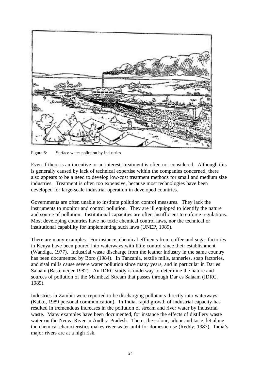

Figure 6: Surface water pollution by industries

Even if there is an incentive or an interest, treatment is often not considered. Although this is generally caused by lack of technical expertise within the companies concerned, there also appears to be a need to develop low-cost treatment methods for small and medium size industries. Treatment is often too expensive, because most technologies have been developed for large-scale industrial operation in developed countries.

Governments are often unable to institute pollution control measures. They lack the instruments to monitor and control pollution. They are ill equipped to identify the nature and source of pollution. Institutional capacities are often insufficient to enforce regulations. Most developing countries have no toxic chemical control laws, nor the technical or institutional capability for implementing such laws (UNEP, 1989).

There are many examples. For instance, chemical effluents from coffee and sugar factories in Kenya have been poured into waterways with little control since their establishment (Wandiga, 1977). Industrial waste discharge from the leather industry in the same country has been documented by Boro (1984). In Tanzania, textile mills, tanneries, soap factories, and sisal mills cause severe water pollution since many years, and in particular in Dar es Salaam (Bastemeijer 1982). An IDRC study is underway to determine the nature and sources of pollution of the Msimbazi Stream that passes through Dar es Salaam (IDRC, 1989).

Industries in Zambia were reported to be discharging pollutants directly into waterways (Katko, 1989 personal communication). In India, rapid growth of industrial capacity has resulted in tremendous increases in the pollution of stream and river water by industrial waste. Many examples have been documented, for instance the effects of distillery waste water on the Neeva River in Andhra Pradesh. There, the colour, odour and taste, let alone the chemical characteristics makes river water unfit for domestic use (Reddy, 1987). India's major rivers are at a high risk.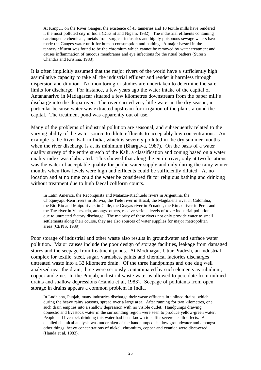At Kanpur, on the River Ganges, the existence of 45 tanneries and 10 textile mills have rendered it the most polluted city in India (Dikshit and Nigam, 1982). The industrial effluents containing carcinogenic chemicals, metals from surgical industries and highly poisonous sewage waters have made the Ganges water unfit for human consumption and bathing. A major hazard in the tannery effluent was found to be the chromium which cannot be removed by water treatment and causes inflammation of mucous membranes and eye infections for the ritual bathers (Suresh Chandra and Krishna, 1983).

It is often implicitly assumed that the major rivers of the world have a sufficiently high assimilative capacity to take all the industrial effluent and render it harmless through dispersion and dilution. No monitoring or studies are undertaken to determine the safe limits for discharge. For instance, a few years ago the water intake of the capital of Antananarivo in Madagascar situated a few kilometres downstream from the paper mill's discharge into the Ikopa river. The river carried very little water in the dry season, in particular because water was extracted upstream for irrigation of the plains around the capital. The treatment pond was apparently out of use.

Many of the problems of industrial pollution are seasonal, and subsequently related to the varying ability of the water source to dilute effluents to acceptably low concentrations. An example is the River Kali in India, which is severely polluted in the dry summer months when the river discharge is at its minimum (Bhargava, 1987). On the basis of a water quality survey of the entire stretch of the Kali, a classification and zoning based on a water quality index was elaborated. This showed that along the entire river, only at two locations was the water of acceptable quality for public water supply and only during the rainy winter months when flow levels were high and effluents could be sufficiently diluted. At no location and at no time could the water be considered fit for religious bathing and drinking without treatment due to high faecal coliform counts.

In Latin America, the Reconquista and Matanza-Riachuelo rivers in Argentina, the Choqueyapu-Reni rivers in Bolivia, the Tiete river in Brazil, the Magdalena river in Colombia, the Bio-Bio and Maipo rivers in Chile, the Guayas river in Ecuador, the Rimac river in Peru, and the Tuy river in Venezuela, amongst others, receive serious levels of toxic industrial pollution due to untreated factory discharge. The majority of these rivers not only provide water to small settlements along their course, they are also sources of water supplies for major metropolitan areas (CEPIS, 1989).

Poor storage of industrial and other waste also results in groundwater and surface water pollution. Major causes include the poor design of storage facilities, leakage from damaged stores and the seepage from treatment ponds. At Modinagar, Uttar Pradesh, an industrial complex for textile, steel, sugar, varnishes, paints and chemical factories discharges untreated waste into a 32 kilometre drain. Of the three handpumps and one dug well analyzed near the drain, three were seriously contaminated by such elements as rubidium, copper and zinc. In the Punjab, industrial waste water is allowed to percolate from unlined drains and shallow depressions (Handa et al, 1983). Seepage of pollutants from open storage in drains appears a common problem in India.

In Ludhiana, Punjab, many industries discharge their waste effluents in unlined drains, which during the heavy rainy seasons, spread over a large area. After running for two kilometres, one such drain empties into a shallow depression with no visible outlet. Handpumps drawing domestic and livestock water in the surrounding region were seen to produce yellow-green water. People and livestock drinking this water had been known to suffer severe health effects. A detailed chemical analysis was undertaken of the handpumped shallow groundwater and amongst other things, heavy concentrations of nickel, chromium, copper and cyanide were discovered (Handa et al, 1983).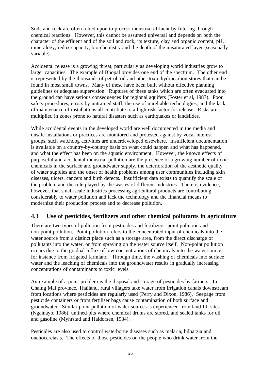Soils and rock are often relied upon to process industrial effluent by filtering through chemical reactions. However, this cannot be assumed universal and depends on both the character of the effluent and of the soil and rock, its texture, clay and organic content, pH, mineralogy, redox capacity, bio-chemistry and the depth of the unsaturated layer (seasonally variable).

Accidental release is a growing threat, particularly as developing world industries grow to larger capacities. The example of Bhopal provides one end of the spectrum. The other end is represented by the thousands of petrol, oil and other toxic hydrocarbon stores that can be found in most small towns. Many of these have been built without effective planning guidelines or adequate supervision. Ruptures of these tanks which are often evacuated into the ground can have serious consequences for regional aquifers (Foster et al, 1987). Poor safety procedures, errors by untrained staff, the use of unreliable technologies, and the lack of maintenance of installations all contribute to a high risk factor for release. Risks are multiplied in zones prone to natural disasters such as earthquakes or landslides.

While accidental events in the developed world are well documented in the media and unsafe installations or practices are monitored and protested against by vocal interest groups, such watchdog activities are underdeveloped elsewhere. Insufficient documentation is available on a country-by-country basis on what could happen and what has happened, and what the effect has been on the aquatic environment. However, the known effects of purposeful and accidental industrial pollution are the presence of a growing number of toxic chemicals in the surface and groundwater supply, the deterioration of the aesthetic quality of water supplies and the onset of health problems among user communities including skin diseases, ulcers, cancers and birth defects. Insufficient data exists to quantify the scale of the problem and the role played by the wastes of different industries. There is evidence, however, that small-scale industries processing agricultural products are contributing considerably to water pollution and lack the technology and the financial means to modernize their production process and to decrease pollution.

## **4.3 Use of pesticides, fertilizers and other chemical pollutants in agriculture**

There are two types of pollution from pesticides and fertilizers: point pollution and non-point pollution. Point pollution refers to the concentrated input of chemicals into the water source from a distinct place such as a storage area, from the direct discharge of pollutants into the water, or from spraying on the water source itself. Non-point pollution occurs due to the gradual influx of low-concentrations of chemicals into the water source, for instance from irrigated farmland. Through time, the washing of chemicals into surface water and the leaching of chemicals into the groundwater results in gradually increasing concentrations of contaminants to toxic levels.

An example of a point problem is the disposal and storage of pesticides by farmers. In Chaing Mai province, Thailand, rural villagers take water from irrigation canals downstream from locations where pesticides are regularly used (Perry and Dixon, 1986). Seepage from pesticide containers or from fertiliser bags cause contamination of both surface and groundwater. Similar point pollution of water sources is experienced from land-fill sites (Ngainayo, 1986), unlined pits where chemical drums are stored, and sealed tanks for oil and gasoline (Myhrstad and Haldorsen, 1984).

Pesticides are also used to control waterborne diseases such as malaria, bilharzia and onchocerciasis. The effects of those pesticides on the people who drink water from the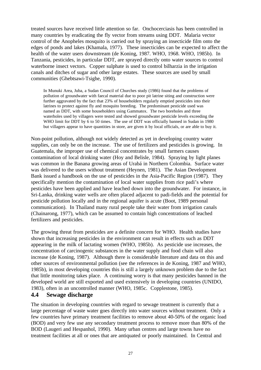treated sources have received little attention so far. Onchocerciasis has been controlled in many countries by eradicating the fly vector from streams using DDT. Malaria vector control of the Anopheles mosquito is carried out by spraying an insecticide film onto the edges of ponds and lakes (Khamala, 1977). These insecticides can be expected to affect the health of the water users downstream (de Koning, 1987. WHO, 1968. WHO, 1985b). In Tanzania, pesticides, in particular DDT, are sprayed directly onto water sources to control waterborne insect vectors. Copper sulphate is used to control bilharzia in the irrigation canals and ditches of sugar and other large estates. These sources are used by small communities (Ghebtsawi-Tsighe, 1990).

In Munuki Area, Juba, a Sudan Council of Churches study (1986) found that the problems of pollution of groundwater with faecal material due to poor pit latrine siting and construction were further aggravated by the fact that 23% of householders regularly emptied pesticides into their latrines to protect against fly and mosquito breeding. The predominant pesticide used was named as DDT, with some householders using Gammatox. The two boreholes and three waterholes used by villagers were tested and showed groundwater pesticide levels exceeding the WHO limit for DDT by 6 to 50 times. The use of DDT was officially banned in Sudan in 1980 but villagers appear to have quantities in store, are given it by local officials, or are able to buy it.

Non-point pollution, although not widely detected as yet in developing country water supplies, can only be on the increase. The use of fertilizers and pesticides is growing. In Guatemala, the improper use of chemical concentrates by small farmers causes contamination of local drinking water (Hoy and Belisle, 1984). Spraying by light planes was common in the Banana growing areas of Urabá in Northern Colombia. Surface water was delivered to the users without treatment (Heynen, 1981). The Asian Development Bank issued a handbook on the use of pesticides in the Asia-Pacific Region (1987). They specifically mention the contamination of local water supplies from rice padi's where pesticides have been applied and have leached down into the groundwater. For instance, in Sri-Lanka, drinking water wells are often placed adjacent to padi-fields and the potential for pesticide pollution locally and in the regional aquifer is acute (Boot, 1989 personal communication). In Thailand many rural people take their water from irrigation canals (Chainarong, 1977), which can be assumed to contain high concentrations of leached fertilizers and pesticides.

The growing threat from pesticides are a definite concern for WHO. Health studies have shown that increasing pesticides in the environment can result in effects such as DDT appearing in the milk of lactating women (WHO, 1985b). As pesticide use increases, the concentration of carcinogenic substances in the water supply and food chain will also increase (de Koning, 1987). Although there is considerable literature and data on this and other sources of environmental pollution (see the references in de Koning, 1987 and WHO, 1985b), in most developing countries this is still a largely unknown problem due to the fact that little monitoring takes place. A continuing worry is that many pesticides banned in the developed world are still exported and used extensively in developing countries (UNIDO, 1983), often in an uncontrolled manner (WHO, 1985c. Copplestone, 1985).

#### **4.4 Sewage discharge**

The situation in developing countries with regard to sewage treatment is currently that a large percentage of waste water goes directly into water sources without treatment. Only a few countries have primary treatment facilities to remove about 40-50% of the organic load (BOD) and very few use any secondary treatment process to remove more than 80% of the BOD (Laugeri and Hespanhol, 1990). Many urban centres and large towns have no treatment facilities at all or ones that are antiquated or poorly maintained. In Central and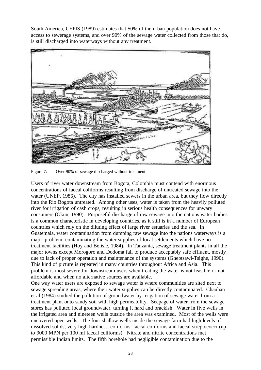South America, CEPIS (1989) estimates that 50% of the urban population does not have access to sewerage systems, and over 90% of the sewage water collected from those that do, is still discharged into waterways without any treatment.



Figure 7: Over 90% of sewage discharged without treatment

Users of river water downstream from Bogota, Colombia must contend with enormous concentrations of faecal coliforms resulting from discharge of untreated sewage into the water (UNEP, 1986). The city has installed sewers in the urban area, but they flow directly into the Rio Bogota untreated. Among other uses, water is taken from the heavily polluted river for irrigation of cash crops, resulting in serious health consequences for unwary consumers (Okun, 1990). Purposeful discharge of raw sewage into the nations water bodies is a common characteristic in developing countries, as it still is in a number of European countries which rely on the diluting effect of large river estuaries and the sea. In Guatemala, water contamination from dumping raw sewage into the nations waterways is a major problem; contaminating the water supplies of local settlements which have no treatment facilities (Hoy and Belisle, 1984). In Tanzania, sewage treatment plants in all the major towns except Morogoro and Dodoma fail to produce acceptably safe effluent, mostly due to lack of proper operation and maintenance of the systems (Ghebtsawi-Tsighe, 1990). This kind of picture is repeated in many countries throughout Africa and Asia. This problem is most severe for downstream users when treating the water is not feasible or not affordable and when no alternative sources are available.

One way water users are exposed to sewage water is where communities are sited next to sewage spreading areas, where their water supplies can be directly contaminated. Chauhan et al (1984) studied the pollution of groundwater by irrigation of sewage water from a treatment plant onto sandy soil with high permeability. Seepage of water from the sewage stores has polluted local groundwater, turning it hard and brackish. Water in five wells in the irrigated area and nineteen wells outside the area was examined. Most of the wells were uncovered open wells. The four shallow wells inside the sewage farm had high levels of dissolved solids, very high hardness, coliforms, faecal coliforms and faecal streptococci (up to 9000 MPN per 100 ml faecal coliforms). Nitrate and nitrite concentrations met permissible Indian limits. The fifth borehole had negligible contamination due to the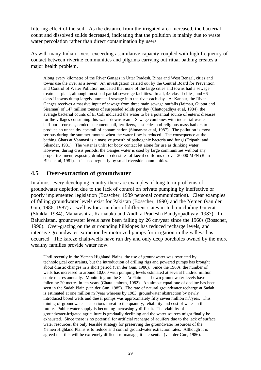filtering effect of the soil. As the distance from the irrigated area increased, the bacterial count and dissolved solids decreased, indicating that the pollution is mainly due to waste water percolation rather than direct contamination by users.

As with many Indian rivers, exceeding assimilative capacity coupled with high frequency of contact between riverine communities and pilgrims carrying out ritual bathing creates a major health problem.

Along every kilometre of the River Ganges in Uttar Pradesh, Bihar and West Bengal, cities and towns use the river as a sewer. An investigation carried out by the Central Board for Prevention and Control of Water Pollution indicated that none of the large cities and towns had a sewage treatment plant, although most had partial sewerage facilities. In all, 48 class I cities, and 66 class II towns dump largely untreated sewage into the river each day. At Kanpur, the River Ganges receives a massive input of sewage from three main sewage outfalls (Jajmau, Guptar and Sisamau) of 147 million tonnes of suspended solids per day (Chattopadhya et al, 1984), the average bacterial counts of E. Coli indicated the water to be a potential source of enteric diseases for the villages consuming this water downstream. Sewage combines with industrial waste, half-burnt corpses, eroded catchment soil, fertilizers, pesticides and religious mass bathers to produce an unhealthy cocktail of contamination (Sinnarkar et al, 1987). The pollution is most serious during the summer months when the water flow is reduced. The consequence at the bathing Ghats at Varanasi is a massive growth of pathogenic bacteria and fungi (Tripathi and Sikandar, 1981). The water is unfit for body contact let alone for use as drinking water. However, during crisis periods, the Ganges water is used by large communities without any proper treatment, exposing drinkers to densities of faecal coliforms of over 20000 MPN (Ram Bilas et al, 1981). It is used regularly by small riverside communities.

## **4.5 Over-extraction of groundwater**

In almost every developing country there are examples of long-term problems of groundwater depletion due to the lack of control on private pumping by ineffective or poorly implemented legislation (Bosscher, 1989 personal communication). Clear examples of falling groundwater levels exist for Pakistan (Bosscher, 1990) and the Yemen (van der Gun, 1986, 1987) as well as for a number of different states in India including Gujerat (Shukla, 1984), Maharashtra, Karnataka and Andhra Pradesh (Bandyopadhyay, 1987). In Baluchistan, groundwater levels have been falling by 26 cm/year since the 1960s (Bosscher, 1990). Over-grazing on the surrounding hillslopes has reduced recharge levels, and intensive groundwater extraction by motorized pumps for irrigation in the valleys has occurred. The kareze chain-wells have run dry and only deep boreholes owned by the more wealthy families provide water now.

Until recently in the Yemen Highland Plains, the use of groundwater was restricted by technological constraints, but the introduction of drilling rigs and powered pumps has brought about drastic changes in a short period (van der Gun, 1986). Since the 1960s, the number of wells has increased to around 10,000 with pumping levels estimated at several hundred million cubic metres annually. Monitoring on the Sana'a Plain has shown groundwater levels have fallen by 20 metres in ten years (Charalambous, 1982). An almost equal rate of decline has been seen in the Sadah Plain (van der Gun, 1985). The rate of natural groundwater recharge at Sadah is estimated at one million  $m^3$ /year whereas by 1983, groundwater abstraction by newly introduced bored wells and diesel pumps was approximately fifty seven million  $m^3$ /year. This mining of groundwater is a serious threat to the quantity, reliability and cost of water in the future. Public water supply is becoming increasingly difficult. The viability of groundwater-irrigated agriculture is gradually declining and the water sources might finally be exhausted. Since there is no potential for artificial recharge of aquifers due to the lack of surface water resources, the only feasible strategy for preserving the groundwater resources of the Yemen Highland Plains is to reduce and control groundwater extraction rates. Although it is agreed that this will be extremely difficult to manage, it is essential (van der Gun, 1986).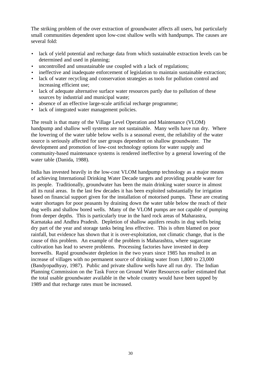The striking problem of the over extraction of groundwater affects all users, but particularly small communities dependent upon low-cost shallow wells with handpumps. The causes are several fold:

- lack of yield potential and recharge data from which sustainable extraction levels can be determined and used in planning;
- uncontrolled and unsustainable use coupled with a lack of regulations;
- ineffective and inadequate enforcement of legislation to maintain sustainable extraction;
- lack of water recycling and conservation strategies as tools for pollution control and increasing efficient use;
- lack of adequate alternative surface water resources partly due to pollution of these sources by industrial and municipal waste;
- absence of an effective large-scale artificial recharge programme:
- lack of integrated water management policies.

The result is that many of the Village Level Operation and Maintenance (VLOM) handpump and shallow well systems are not sustainable. Many wells have run dry. Where the lowering of the water table below wells is a seasonal event, the reliability of the water source is seriously affected for user groups dependent on shallow groundwater. The development and promotion of low-cost technology options for water supply and community-based maintenance systems is rendered ineffective by a general lowering of the water table (Danida, 1988).

India has invested heavily in the low-cost VLOM handpump technology as a major means of achieving International Drinking Water Decade targets and providing potable water for its people. Traditionally, groundwater has been the main drinking water source in almost all its rural areas. In the last few decades it has been exploited substantially for irrigation based on financial support given for the installation of motorised pumps. These are creating water shortages for poor peasants by draining down the water table below the reach of their dug wells and shallow bored wells. Many of the VLOM pumps are not capable of pumping from deeper depths. This is particularly true in the hard rock areas of Maharastra, Karnataka and Andhra Pradesh. Depletion of shallow aquifers results in dug wells being dry part of the year and storage tanks being less effective. This is often blamed on poor rainfall, but evidence has shown that it is over-exploitation, not climatic change, that is the cause of this problem. An example of the problem is Maharashtra, where sugarcane cultivation has lead to severe problems. Processing factories have invested in deep borewells. Rapid groundwater depletion in the two years since 1985 has resulted in an increase of villages with no permanent source of drinking water from 1,800 to 23,000 (Bandyopadhyay, 1987). Public and private shallow wells have all run dry. The Indian Planning Commission on the Task Force on Ground Water Resources earlier estimated that the total usable groundwater available in the whole country would have been tapped by 1989 and that recharge rates must be increased.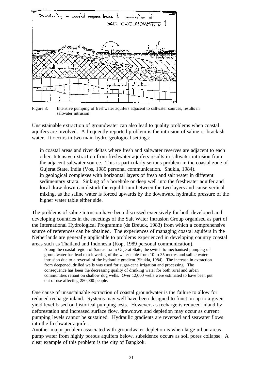

Figure 8: Intensive pumping of freshwater aquifers adjacent to saltwater sources, results in saltwater intrusion

Unsustainable extraction of groundwater can also lead to quality problems when coastal aquifers are involved. A frequently reported problem is the intrusion of saline or brackish water. It occurs in two main hydro-geological settings:

in coastal areas and river deltas where fresh and saltwater reserves are adjacent to each other. Intensive extraction from freshwater aquifers results in saltwater intrusion from the adjacent saltwater source. This is particularly serious problem in the coastal zone of Gujerat State, India (Vos, 1989 personal communication. Shukla, 1984). in geological complexes with horizontal layers of fresh and salt water in different sedimentary strata. Sinking of a borehole or deep well into the freshwater aquifer and local draw-down can disturb the equilibrium between the two layers and cause vertical mixing, as the saline water is forced upwards by the downward hydraulic pressure of the higher water table either side.

The problems of saline intrusion have been discussed extensively for both developed and developing countries in the meetings of the Salt Water Intrusion Group organised as part of the International Hydrological Programme (de Breuck, 1983) from which a comprehensive source of references can be obtained. The experiences of managing coastal aquifers in the Netherlands are generally applicable to problems experienced in developing country coastal areas such as Thailand and Indonesia (Kop, 1989 personal communication).

Along the coastal region of Saurashtra in Gujerat State, the switch to mechanised pumping of groundwater has lead to a lowering of the water table from 10 to 35 metres and saline water intrusion due to a reversal of the hydraulic gradient (Shukla, 1984). The increase in extraction from deepened, drilled wells was used for sugar-cane irrigation and processing. The consequence has been the decreasing quality of drinking water for both rural and urban communities reliant on shallow dug wells. Over 12,000 wells were estimated to have been put out of use affecting 280,000 people.

One cause of unsustainable extraction of coastal groundwater is the failure to allow for reduced recharge inland. Systems may well have been designed to function up to a given yield level based on historical pumping tests. However, as recharge is reduced inland by deforestation and increased surface flow, drawdown and depletion may occur as current pumping levels cannot be sustained. Hydraulic gradients are reversed and seawater flows into the freshwater aquifer.

Another major problem associated with groundwater depletion is when large urban areas pump water from highly porous aquifers below, subsidence occurs as soil pores collapse. A clear example of this problem is the city of Bangkok.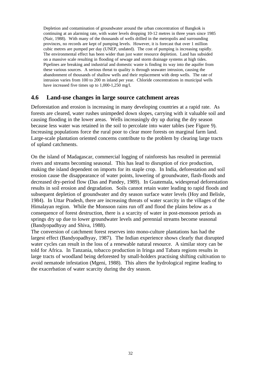Depletion and contamination of groundwater around the urban concentration of Bangkok is continuing at an alarming rate, with water levels dropping 10-12 metres in three years since 1985 (Nair, 1988). With many of the thousands of wells drilled in the metropolis and surrounding provinces, no records are kept of pumping levels. However, it is forecast that over 1 million cubic metres are pumped per day (UNEP, undated). The cost of pumping is increasing rapidly. The environmental effect has been wider than just water resource depletion. Land has subsided on a massive scale resulting in flooding of sewage and storm drainage systems at high tides. Pipelines are breaking and industrial and domestic waste is finding its way into the aquifer from these various sources. A serious threat to quality is through seawater intrusion, causing the abandonment of thousands of shallow wells and their replacement with deep wells. The rate of intrusion varies from 100 to 200 m inland per year. Chloride concentrations in municipal wells have increased five times up to 1,000-1,250 mg/l.

## **4.6 Land-use changes in large source catchment areas**

Deforestation and erosion is increasing in many developing countries at a rapid rate. As forests are cleared, water rushes unimpeded down slopes, carrying with it valuable soil and causing flooding in the lower areas. Wells increasingly dry up during the dry season because less water was retained in the soil to percolate into water tables (see Figure 9). Increasing populations force the rural poor to clear more forests on marginal farm land. Large-scale plantation oriented concerns contribute to the problem by clearing large tracts of upland catchments.

On the island of Madagascar, commercial logging of rainforests has resulted in perennial rivers and streams becoming seasonal. This has lead to disruption of rice production, making the island dependent on imports for its staple crop. In India, deforestation and soil erosion cause the disappearance of water points, lowering of groundwater, flash-floods and decreased dry-period flow (Das and Pandey, 1989). In Guatemala, widespread deforestation results in soil erosion and degradation. Soils cannot retain water leading to rapid floods and subsequent depletion of groundwater and dry season surface water levels (Hoy and Belisle, 1984). In Uttar Pradesh, there are increasing threats of water scarcity in the villages of the Himalayan region. While the Monsoon rains run off and flood the plains below as a consequence of forest destruction, there is a scarcity of water in post-monsoon periods as springs dry up due to lower groundwater levels and perennial streams become seasonal (Bandyopadhyay and Shiva, 1988).

The conversion of catchment forest reserves into mono-culture plantations has had the largest effect (Bandyopadhyay, 1987). The Indian experience shows clearly that disrupted water cycles can result in the loss of a renewable natural resource. A similar story can be told for Africa. In Tanzania, tobacco production in Iringa and Tabara regions results in large tracts of woodland being deforested by small-holders practising shifting cultivation to avoid nematode infestation (Mgeni, 1988). This alters the hydrological regime leading to the exacerbation of water scarcity during the dry season.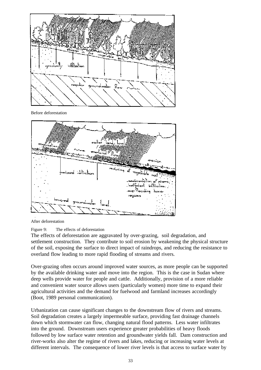

Before deforestation



After deforestation

#### Figure 9: The effects of deforestation

The effects of deforestation are aggravated by over-grazing, soil degradation, and settlement construction. They contribute to soil erosion by weakening the physical structure of the soil, exposing the surface to direct impact of raindrops, and reducing the resistance to overland flow leading to more rapid flooding of streams and rivers.

Over-grazing often occurs around improved water sources, as more people can be supported by the available drinking water and move into the region. This is the case in Sudan where deep wells provide water for people and cattle. Additionally, provision of a more reliable and convenient water source allows users (particularly women) more time to expand their agricultural activities and the demand for fuelwood and farmland increases accordingly (Boot, 1989 personal communication).

Urbanization can cause significant changes to the downstream flow of rivers and streams. Soil degradation creates a largely impermeable surface, providing fast drainage channels down which stormwater can flow, changing natural flood patterns. Less water infiltrates into the ground. Downstream users experience greater probabilities of heavy floods followed by low surface water retention and groundwater yields fall. Dam construction and river-works also alter the regime of rivers and lakes, reducing or increasing water levels at different intervals. The consequence of lower river levels is that access to surface water by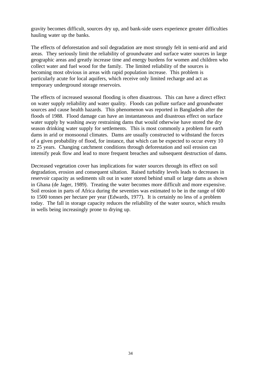gravity becomes difficult, sources dry up, and bank-side users experience greater difficulties hauling water up the banks.

The effects of deforestation and soil degradation are most strongly felt in semi-arid and arid areas. They seriously limit the reliability of groundwater and surface water sources in large geographic areas and greatly increase time and energy burdens for women and children who collect water and fuel wood for the family. The limited reliability of the sources is becoming most obvious in areas with rapid population increase. This problem is particularly acute for local aquifers, which receive only limited recharge and act as temporary underground storage reservoirs.

The effects of increased seasonal flooding is often disastrous. This can have a direct effect on water supply reliability and water quality. Floods can pollute surface and groundwater sources and cause health hazards. This phenomenon was reported in Bangladesh after the floods of 1988. Flood damage can have an instantaneous and disastrous effect on surface water supply by washing away restraining dams that would otherwise have stored the dry season drinking water supply for settlements. This is most commonly a problem for earth dams in arid or monsoonal climates. Dams are usually constructed to withstand the forces of a given probability of flood, for instance, that which can be expected to occur every 10 to 25 years. Changing catchment conditions through deforestation and soil erosion can intensify peak flow and lead to more frequent breaches and subsequent destruction of dams.

Decreased vegetation cover has implications for water sources through its effect on soil degradation, erosion and consequent siltation. Raised turbidity levels leads to decreases in reservoir capacity as sediments silt out in water stored behind small or large dams as shown in Ghana (de Jager, 1989). Treating the water becomes more difficult and more expensive. Soil erosion in parts of Africa during the seventies was estimated to be in the range of 600 to 1500 tonnes per hectare per year (Edwards, 1977). It is certainly no less of a problem today. The fall in storage capacity reduces the reliability of the water source, which results in wells being increasingly prone to drying up.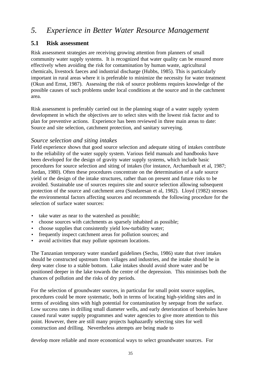# *5. Experience in Better Water Resource Management*

# **5.1 Risk assessment**

Risk assessment strategies are receiving growing attention from planners of small community water supply systems. It is recognized that water quality can be ensured more effectively when avoiding the risk for contamination by human waste, agricultural chemicals, livestock faeces and industrial discharge (Hubbs, 1985). This is particularly important in rural areas where it is preferable to minimize the necessity for water treatment (Okun and Ernst, 1987). Assessing the risk of source problems requires knowledge of the possible causes of such problems under local conditions at the source and in the catchment area.

Risk assessment is preferably carried out in the planning stage of a water supply system development in which the objectives are to select sites with the lowest risk factor and to plan for preventive actions. Experience has been reviewed in three main areas to date: Source and site selection, catchment protection, and sanitary surveying.

## *Source selection and siting intakes*

Field experience shows that good source selection and adequate siting of intakes contribute to the reliability of the water supply system. Various field manuals and handbooks have been developed for the design of gravity water supply systems, which include basic procedures for source selection and siting of intakes (for instance, Archambault et al, 1987; Jordan, 1980). Often these procedures concentrate on the determination of a safe source yield or the design of the intake structures, rather than on present and future risks to be avoided. Sustainable use of sources requires site and source selection allowing subsequent protection of the source and catchment area (Sundaresan et al, 1982). Lloyd (1982) stresses the environmental factors affecting sources and recommends the following procedure for the selection of surface water sources:

- take water as near to the watershed as possible;
- choose sources with catchments as sparsely inhabited as possible;
- choose supplies that consistently yield low-turbidity water;
- frequently inspect catchment areas for pollution sources; and
- avoid activities that may pollute upstream locations.

The Tanzanian temporary water standard guidelines (Sechu, 1986) state that river intakes should be constructed upstream from villages and industries, and the intake should be in deep water close to a stable bottom. Lake intakes should avoid shore water and be positioned deeper in the lake towards the centre of the depression. This minimises both the chances of pollution and the risks of dry periods.

For the selection of groundwater sources, in particular for small point source supplies, procedures could be more systematic, both in terms of locating high-yielding sites and in terms of avoiding sites with high potential for contamination by seepage from the surface. Low success rates in drilling small diameter wells, and early deterioration of boreholes have caused rural water supply programmes and water agencies to give more attention to this point. However, there are still many projects haphazardly selecting sites for well construction and drilling. Nevertheless attempts are being made to

develop more reliable and more economical ways to select groundwater sources. For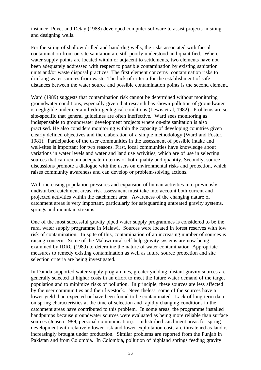instance, Poyet and Detay (1988) developed computer software to assist projects in siting and designing wells.

For the siting of shallow drilled and hand-dug wells, the risks associated with faecal contamination from on-site sanitation are still poorly understood and quantified. Where water supply points are located within or adjacent to settlements, two elements have not been adequately addressed with respect to possible contamination by existing sanitation units and/or waste disposal practices. The first element concerns contamination risks to drinking water sources from waste. The lack of criteria for the establishment of safe distances between the water source and possible contamination points is the second element.

Ward (1989) suggests that contamination risk cannot be determined without monitoring groundwater conditions, especially given that research has shown pollution of groundwater is negligible under certain hydro-geological conditions (Lewis et al, 1982). Problems are so site-specific that general guidelines are often ineffective. Ward sees monitoring as indispensable to groundwater development projects where on-site sanitation is also practised. He also considers monitoring within the capacity of developing countries given clearly defined objectives and the elaboration of a simple methodology (Ward and Foster, 1981). Participation of the user communities in the assessment of possible intake and well-sites is important for two reasons. First, local communities have knowledge about variations in water levels and water and land use activities, which are of use in selecting sources that can remain adequate in terms of both quality and quantity. Secondly, source discussions promote a dialogue with the users on environmental risks and protection, which raises community awareness and can develop or problem-solving actions.

With increasing population pressures and expansion of human activities into previously undisturbed catchment areas, risk assessment must take into account both current and projected activities within the catchment area. Awareness of the changing nature of catchment areas is very important, particularly for safeguarding untreated gravity systems, springs and mountain streams.

One of the most successful gravity piped water supply programmes is considered to be the rural water supply programme in Malawi. Sources were located in forest reserves with low risk of contamination. In spite of this, contamination of an increasing number of sources is raising concern. Some of the Malawi rural self-help gravity systems are now being examined by IDRC (1989) to determine the nature of water contamination. Appropriate measures to remedy existing contamination as well as future source protection and site selection criteria are being investigated.

In Danida supported water supply programmes, greater yielding, distant gravity sources are generally selected at higher costs in an effort to meet the future water demand of the target population and to minimize risks of pollution. In principle, these sources are less affected by the user communities and their livestock. Nevertheless, some of the sources have a lower yield than expected or have been found to be contaminated. Lack of long-term data on spring characteristics at the time of selection and rapidly changing conditions in the catchment areas have contributed to this problem. In some areas, the programme installed handpumps because groundwater sources were evaluated as being more reliable than surface sources (Jensen 1989, personal communication). Undisturbed catchment areas for spring development with relatively lower risk and lower exploitation costs are threatened as land is increasingly brought under production. Similar problems are reported from the Punjab in Pakistan and from Colombia. In Colombia, pollution of highland springs feeding gravity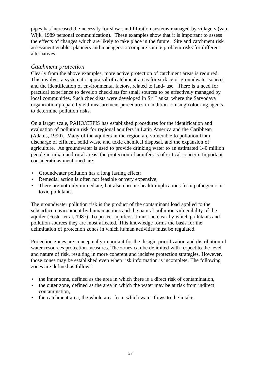pipes has increased the necessity for slow sand filtration systems managed by villagers (van Wijk, 1989 personal communication). These examples show that it is important to assess the effects of changes which are likely to take place in the future. Site and catchment risk assessment enables planners and managers to compare source problem risks for different alternatives.

#### *Catchment protection*

Clearly from the above examples, more active protection of catchment areas is required. This involves a systematic appraisal of catchment areas for surface or groundwater sources and the identification of environmental factors, related to land- use. There is a need for practical experience to develop checklists for small sources to be effectively managed by local communities. Such checklists were developed in Sri Lanka, where the Sarvodaya organization prepared yield measurement procedures in addition to using colouring agents to determine pollution risks.

On a larger scale, PAHO/CEPIS has established procedures for the identification and evaluation of pollution risk for regional aquifers in Latin America and the Caribbean (Adams, 1990). Many of the aquifers in the region are vulnerable to pollution from discharge of effluent, solid waste and toxic chemical disposal, and the expansion of agriculture. As groundwater is used to provide drinking water to an estimated 140 million people in urban and rural areas, the protection of aquifers is of critical concern. Important considerations mentioned are:

- Groundwater pollution has a long lasting effect;
- Remedial action is often not feasible or very expensive;
- There are not only immediate, but also chronic health implications from pathogenic or toxic pollutants.

The groundwater pollution risk is the product of the contaminant load applied to the subsurface environment by human actions and the natural pollution vulnerability of the aquifer (Foster et al, 1987). To protect aquifers, it must be clear by which pollutants and pollution sources they are most affected. This knowledge forms the basis for the delimitation of protection zones in which human activities must be regulated.

Protection zones are conceptually important for the design, prioritization and distribution of water resources protection measures. The zones can be delimited with respect to the level and nature of risk, resulting in more coherent and incisive protection strategies. However, those zones may be established even when risk information is incomplete. The following zones are defined as follows:

- the inner zone, defined as the area in which there is a direct risk of contamination,
- the outer zone, defined as the area in which the water may be at risk from indirect contamination,
- the catchment area, the whole area from which water flows to the intake.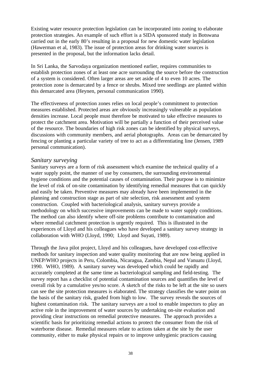Existing water resource protection legislation can be incorporated into zoning to elaborate protection strategies. An example of such effort is a SIDA sponsored study in Botswana carried out in the early 80's resulting in a proposal for new domestic water legislation (Hawerman et al, 1983). The issue of protection areas for drinking water sources is presented in the proposal, but the information lacks detail.

In Sri Lanka, the Sarvodaya organization mentioned earlier, requires communities to establish protection zones of at least one acre surrounding the source before the construction of a system is considered. Often larger areas are set aside of 4 to even 10 acres. The protection zone is demarcated by a fence or shrubs. Mixed tree seedlings are planted within this demarcated area (Heynen, personal communication 1990).

The effectiveness of protection zones relies on local people's commitment to protection measures established. Protected areas are obviously increasingly vulnerable as population densities increase. Local people must therefore be motivated to take effective measures to protect the catchment area. Motivation will be partially a function of their perceived value of the resource. The boundaries of high risk zones can be identified by physical surveys, discussions with community members, and aerial photographs. Areas can be demarcated by fencing or planting a particular variety of tree to act as a differentiating line (Jensen, 1989 personal communication).

#### *Sanitary surveying*

Sanitary surveys are a form of risk assessment which examine the technical quality of a water supply point, the manner of use by consumers, the surrounding environmental hygiene conditions and the potential causes of contamination. Their purpose is to minimize the level of risk of on-site contamination by identifying remedial measures that can quickly and easily be taken. Preventive measures may already have been implemented in the planning and construction stage as part of site selection, risk assessment and system construction. Coupled with bacteriological analysis, sanitary surveys provide a methodology on which successive improvements can be made to water supply conditions. The method can also identify where off-site problems contribute to contamination and where remedial catchment protection is urgently required. This is illustrated in the experiences of Lloyd and his colleagues who have developed a sanitary survey strategy in collaboration with WHO (Lloyd, 1990; Lloyd and Suyati, 1989).

Through the Java pilot project, Lloyd and his colleagues, have developed cost-effective methods for sanitary inspection and water quality monitoring that are now being applied in UNEP/WHO projects in Peru, Colombia, Nicaragua, Zambia, Nepal and Vanuatu (Lloyd, 1990. WHO, 1989). A sanitary survey was developed which could be rapidly and accurately completed at the same time as bacteriological sampling and field-testing. The survey report has a checklist of potential contamination sources and quantifies the level of overall risk by a cumulative yes/no score. A sketch of the risks to be left at the site so users can see the site protection measures is elaborated. The strategy classifies the water point on the basis of the sanitary risk, graded from high to low. The survey reveals the sources of highest contamination risk. The sanitary surveys are a tool to enable inspectors to play an active role in the improvement of water sources by undertaking on-site evaluation and providing clear instructions on remedial protective measures. The approach provides a scientific basis for prioritizing remedial actions to protect the consumer from the risk of waterborne disease. Remedial measures relate to actions taken at the site by the user community, either to make physical repairs or to improve unhygienic practices causing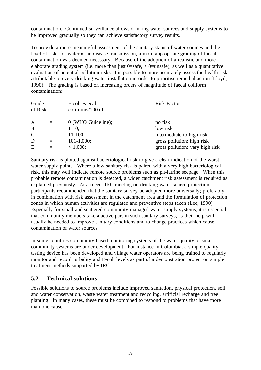contamination. Continued surveillance allows drinking water sources and supply systems to be improved gradually so they can achieve satisfactory survey results.

To provide a more meaningful assessment of the sanitary status of water sources and the level of risks for waterborne disease transmission, a more appropriate grading of faecal contamination was deemed necessary. Because of the adoption of a realistic and more elaborate grading system (i.e. more than just  $0 =$ safe,  $> 0 =$ unsafe), as well as a quantitative evaluation of potential pollution risks, it is possible to more accurately assess the health risk attributable to every drinking water installation in order to prioritise remedial action (Lloyd, 1990). The grading is based on increasing orders of magnitude of faecal coliform contamination:

| Grade<br>of Risk |     | E.coli-Faecal<br>coliforms/100ml | <b>Risk Factor</b>              |
|------------------|-----|----------------------------------|---------------------------------|
| A                | $=$ | 0 (WHO Guideline);               | no risk                         |
| B                | $=$ | $1-10$ ;                         | low risk                        |
| $\mathsf{C}$     | $=$ | $11-100;$                        | intermediate to high risk       |
| D                | $=$ | $101-1,000;$                     | gross pollution; high risk      |
| E                | $=$ | > 1,000;                         | gross pollution; very high risk |

Sanitary risk is plotted against bacteriological risk to give a clear indication of the worst water supply points. Where a low sanitary risk is paired with a very high bacteriological risk, this may well indicate remote source problems such as pit-latrine seepage. When this probable remote contamination is detected, a wider catchment risk assessment is required as explained previously. At a recent IRC meeting on drinking water source protection, participants recommended that the sanitary survey be adopted more universally; preferably in combination with risk assessment in the catchment area and the formulation of protection zones in which human activities are regulated and preventive steps taken (Lee, 1990). Especially for small and scattered community-managed water supply systems, it is essential that community members take a active part in such sanitary surveys, as their help will usually be needed to improve sanitary conditions and to change practices which cause contamination of water sources.

In some countries community-based monitoring systems of the water quality of small community systems are under development. For instance in Colombia, a simple quality testing device has been developed and village water operators are being trained to regularly monitor and record turbidity and E-coli levels as part of a demonstration project on simple treatment methods supported by IRC.

# **5.2 Technical solutions**

Possible solutions to source problems include improved sanitation, physical protection, soil and water conservation, waste water treatment and recycling, artificial recharge and tree planting. In many cases, these must be combined to respond to problems that have more than one cause.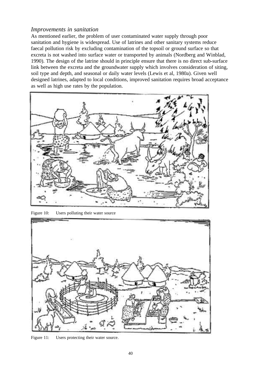## *Improvements in sanitation*

As mentioned earlier, the problem of user contaminated water supply through poor sanitation and hygiene is widespread. Use of latrines and other sanitary systems reduce faecal pollution risk by excluding contamination of the topsoil or ground surface so that excreta is not washed into surface water or transported by animals (Nordberg and Winblad, 1990). The design of the latrine should in principle ensure that there is no direct sub-surface link between the excreta and the groundwater supply which involves consideration of siting, soil type and depth, and seasonal or daily water levels (Lewis et al, 1980a). Given well designed latrines, adapted to local conditions, improved sanitation requires broad acceptance as well as high use rates by the population.



Figure 10: Users polluting their water source



Figure 11: Users protecting their water source.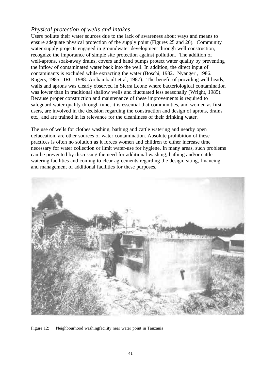# *Physical protection of wells and intakes*

Users pollute their water sources due to the lack of awareness about ways and means to ensure adequate physical protection of the supply point (Figures 25 and 26). Community water supply projects engaged in groundwater development through well construction, recognize the importance of simple site protection against pollution. The addition of well-aprons, soak-away drains, covers and hand pumps protect water quality by preventing the inflow of contaminated water back into the well. In addition, the direct input of contaminants is excluded while extracting the water (Boschi, 1982. Nyangeri, 1986. Rogers, 1985. IRC, 1988. Archambault et al, 1987). The benefit of providing well-heads, walls and aprons was clearly observed in Sierra Leone where bacteriological contamination was lower than in traditional shallow wells and fluctuated less seasonally (Wright, 1985). Because proper construction and maintenance of these improvements is required to safeguard water quality through time, it is essential that communities, and women as first users, are involved in the decision regarding the construction and design of aprons, drains etc., and are trained in its relevance for the cleanliness of their drinking water.

The use of wells for clothes washing, bathing and cattle watering and nearby open defaecation, are other sources of water contamination. Absolute prohibition of these practices is often no solution as it forces women and children to either increase time necessary for water collection or limit water-use for hygiene. In many areas, such problems can be prevented by discussing the need for additional washing, bathing and/or cattle watering facilities and coming to clear agreements regarding the design, siting, financing and management of additional facilities for these purposes.



Figure 12: Neighbourhood washingfacility near water point in Tanzania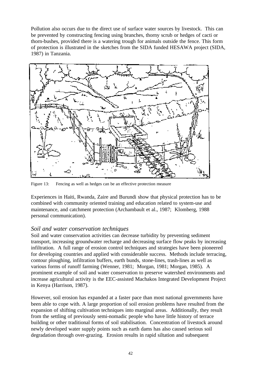Pollution also occurs due to the direct use of surface water sources by livestock. This can be prevented by constructing fencing using branches, thorny scrub or hedges of cacti or thorn-bushes, provided there is a watering trough for animals outside the fence. This form of protection is illustrated in the sketches from the SIDA funded HESAWA project (SIDA, 1987) in Tanzania.



Figure 13: Fencing as well as hedges can be an effective protection measure

Experiences in Haiti, Rwanda, Zaire and Burundi show that physical protection has to be combined with community oriented training and education related to system-use and maintenance, and catchment protection (Archambault et al., 1987; Klomberg, 1988 personal communication).

#### *Soil and water conservation techniques*

Soil and water conservation activities can decrease turbidity by preventing sediment transport, increasing groundwater recharge and decreasing surface flow peaks by increasing infiltration. A full range of erosion control techniques and strategies have been pioneered for developing countries and applied with considerable success. Methods include terracing, contour ploughing, infiltration buffers, earth bunds, stone-lines, trash-lines as well as various forms of runoff farming (Wenner, 1981; Morgan, 1981; Morgan, 1985). A prominent example of soil and water conservation to preserve watershed environments and increase agricultural activity is the EEC-assisted Machakos Integrated Development Project in Kenya (Harrison, 1987).

However, soil erosion has expanded at a faster pace than most national governments have been able to cope with. A large proportion of soil erosion problems have resulted from the expansion of shifting cultivation techniques into marginal areas. Additionally, they result from the settling of previously semi-nomadic people who have little history of terrace building or other traditional forms of soil stabilisation. Concentration of livestock around newly developed water supply points such as earth dams has also caused serious soil degradation through over-grazing. Erosion results in rapid siltation and subsequent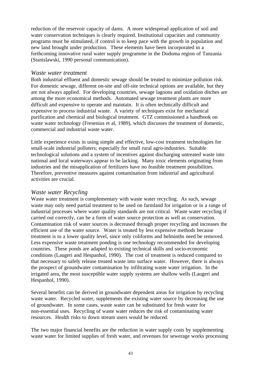reduction of the reservoir capacity of dams. A more widespread application of soil and water conservation techniques is clearly required. Institutional capacities and community programs must be stimulated, if control is to keep pace with the growth in population and new land brought under production. These elements have been incorporated in a forthcoming innovative rural water supply programme in the Dodoma region of Tanzania (Stanislawski, 1990 personal communication).

#### *Waste water treatment*

Both industrial effluent and domestic sewage should be treated to minimize pollution risk. For domestic sewage, different on-site and off-site technical options are available, but they are not always applied. For developing countries, sewage lagoons and oxidation ditches are among the more economical methods. Automated sewage treatment plants are more difficult and expensive to operate and maintain. It is often technically difficult and expensive to process industrial waste. A variety of techniques exist for mechanical purification and chemical and biological treatment. GTZ commissioned a handbook on waste water technology (Fresenius et al. 1989), which discusses the treatment of domestic, commercial and industrial waste water.

Little experience exists in using simple and effective, low-cost treatment technologies for small-scale industrial polluters; especially for small rural agro-industries. Suitable technological solutions and a system of incentives against discharging untreated waste into national and local waterways appear to be lacking. Many toxic elements originating from industries and the misapplication of fertilizers have no feasible treatment possibilities. Therefore, preventive measures against contamination from industrial and agricultural activities are crucial.

#### *Waste water Recycling*

Waste water treatment is complementary with waste water recycling. As such, sewage waste may only need partial treatment to be used on farmland for irrigation or in a range of industrial processes where water quality standards are not critical. Waste water recycling if carried out correctly, can be a form of water source protection as well as conservation. Contamination risk of water sources is decreased through proper recycling and increases the efficient use of the water source. Water is treated by less expensive methods because treatment is to a lower quality level, since only coliforms and helminths need be removed. Less expensive waste treatment ponding is one technology recommended for developing countries. These ponds are adapted to existing technical skills and socio-economic conditions (Laugeri and Hespanhol, 1990). The cost of treatment is reduced compared to that necessary to safely release treated waste into surface water. However, there is always the prospect of groundwater contamination by infiltrating waste water irrigation. In the irrigated area, the most susceptible water supply systems are shallow wells (Laugeri and Hespanhol, 1990).

Several benefits can be derived in groundwater dependent areas for irrigation by recycling waste water. Recycled water, supplements the existing water source by decreasing the use of groundwater. In some cases, waste water can be substituted for fresh water for non-essential uses. Recycling of waste water reduces the risk of contaminating water resources. Health risks to down stream users would be reduced.

The two major financial benefits are the reduction in water supply costs by supplementing waste water for limited supplies of fresh water, and revenues for sewerage works processing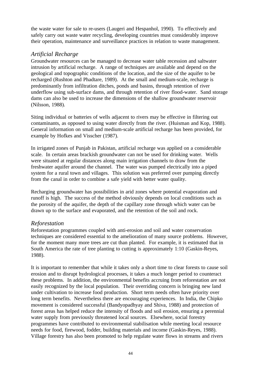the waste water for sale to re-users (Laugeri and Hespanhol, 1990). To effectively and safely carry out waste water recycling, developing countries must considerably improve their operation, maintenance and surveillance practices in relation to waste management.

#### *Artificial Recharge*

Groundwater resources can be managed to decrease water table recession and saltwater intrusion by artificial recharge. A range of techniques are available and depend on the geological and topographic conditions of the location, and the size of the aquifer to be recharged (Rushton and Phadtare, 1989). At the small and medium-scale, recharge is predominantly from infiltration ditches, ponds and basins, through retention of river underflow using sub-surface dams, and through retention of river flood-water. Sand storage dams can also be used to increase the dimensions of the shallow groundwater reservoir (Nilsson, 1988).

Siting individual or batteries of wells adjacent to rivers may be effective in filtering out contaminants, as opposed to using water directly from the river. (Huisman and Kop, 1988). General information on small and medium-scale artificial recharge has been provided, for example by Hofkes and Visscher (1987).

In irrigated zones of Punjab in Pakistan, artificial recharge was applied on a considerable scale. In certain areas brackish groundwater can not be used for drinking water. Wells were situated at regular distances along main irrigation channels to draw from the freshwater aquifer around the channel. The water was pumped electrically into a piped system for a rural town and villages. This solution was preferred over pumping directly from the canal in order to combine a safe yield with better water quality.

Recharging groundwater has possibilities in arid zones where potential evaporation and runoff is high. The success of the method obviously depends on local conditions such as the porosity of the aquifer, the depth of the capillary zone through which water can be drawn up to the surface and evaporated, and the retention of the soil and rock.

## *Reforestation*

Reforestation programmes coupled with anti-erosion and soil and water conservation techniques are considered essential to the amelioration of many source problems. However, for the moment many more trees are cut than planted. For example, it is estimated that in South America the rate of tree planting to cutting is approximately 1:10 (Gaskin-Reyes, 1988).

It is important to remember that while it takes only a short time to clear forests to cause soil erosion and to disrupt hydrological processes, it takes a much longer period to counteract these problems. In addition, the environmental benefits accruing from reforestation are not easily recognized by the local population. Their overriding concern is bringing new land under cultivation to increase food production. Short term needs often have priority over long term benefits. Nevertheless there are encouraging experiences. In India, the Chipko movement is considered successful (Bandyopadhyay and Shiva, 1988) and protection of forest areas has helped reduce the intensity of floods and soil erosion, ensuring a perennial water supply from previously threatened local sources. Elsewhere, social forestry programmes have contributed to environmental stabilisation while meeting local resource needs for food, firewood, fodder, building materials and income (Gaskin-Reyes, 1988). Village forestry has also been promoted to help regulate water flows in streams and rivers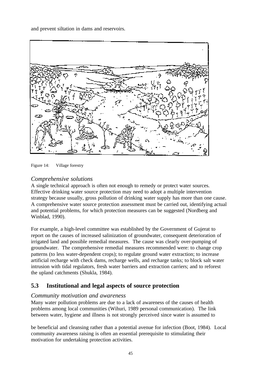and prevent siltation in dams and reservoirs.



Figure 14: Village forestry

# *Comprehensive solutions*

A single technical approach is often not enough to remedy or protect water sources. Effective drinking water source protection may need to adopt a multiple intervention strategy because usually, gross pollution of drinking water supply has more than one cause. A comprehensive water source protection assessment must be carried out, identifying actual and potential problems, for which protection measures can be suggested (Nordberg and Winblad, 1990).

For example, a high-level committee was established by the Government of Gujerat to report on the causes of increased salinization of groundwater, consequent deterioration of irrigated land and possible remedial measures. The cause was clearly over-pumping of groundwater. The comprehensive remedial measures recommended were: to change crop patterns (to less water-dependent crops); to regulate ground water extraction; to increase artificial recharge with check dams, recharge wells, and recharge tanks; to block salt water intrusion with tidal regulators, fresh water barriers and extraction carriers; and to reforest the upland catchments (Shukla, 1984).

# **5.3 Institutional and legal aspects of source protection**

## *Community motivation and awareness*

Many water pollution problems are due to a lack of awareness of the causes of health problems among local communities (Wihuri, 1989 personal communication). The link between water, hygiene and illness is not strongly perceived since water is assumed to

be beneficial and cleansing rather than a potential avenue for infection (Boot, 1984). Local community awareness raising is often an essential prerequisite to stimulating their motivation for undertaking protection activities.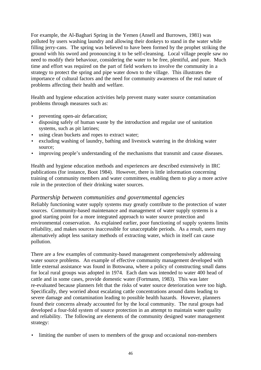For example, the Al-Baghari Spring in the Yemen (Ansell and Burrowes, 1981) was polluted by users washing laundry and allowing their donkeys to stand in the water while filling jerry-cans. The spring was believed to have been formed by the prophet striking the ground with his sword and pronouncing it to be self-cleansing. Local village people saw no need to modify their behaviour, considering the water to be free, plentiful, and pure. Much time and effort was required on the part of field workers to involve the community in a strategy to protect the spring and pipe water down to the village. This illustrates the importance of cultural factors and the need for community awareness of the real nature of problems affecting their health and welfare.

Health and hygiene education activities help prevent many water source contamination problems through measures such as:

- preventing open-air defaecation;
- disposing safely of human waste by the introduction and regular use of sanitation systems, such as pit latrines;
- using clean buckets and ropes to extract water;
- excluding washing of laundry, bathing and livestock watering in the drinking water source;
- improving people's understanding of the mechanisms that transmit and cause diseases.

Health and hygiene education methods and experiences are described extensively in IRC publications (for instance, Boot 1984). However, there is little information concerning training of community members and water committees, enabling them to play a more active role in the protection of their drinking water sources.

#### *Partnership between communities and governmental agencies*

Reliably functioning water supply systems may greatly contribute to the protection of water sources. Community-based maintenance and management of water supply systems is a good starting point for a more integrated approach to water source protection and environmental conservation. As explained earlier, poor functioning of supply systems limits reliability, and makes sources inaccessible for unacceptable periods. As a result, users may alternatively adopt less sanitary methods of extracting water, which in itself can cause pollution.

There are a few examples of community-based management comprehensively addressing water source problems. An example of effective community management developed with little external assistance was found in Botswana, where a policy of constructing small dams for local rural groups was adopted in 1974. Each dam was intended to water 400 head of cattle and in some cases, provide domestic water (Fortmann, 1983). This was later re-evaluated because planners felt that the risks of water source deterioration were too high. Specifically, they worried about escalating cattle concentrations around dams leading to severe damage and contamination leading to possible health hazards. However, planners found their concerns already accounted for by the local community. The rural groups had developed a four-fold system of source protection in an attempt to maintain water quality and reliability. The following are elements of the community designed water management strategy:

• limiting the number of users to members of the group and occasional non-members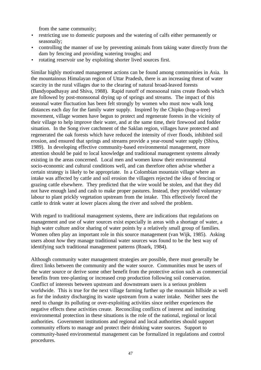from the same community;

- restricting use to domestic purposes and the watering of calfs either permanently or seasonally;
- controlling the manner of use by preventing animals from taking water directly from the dam by fencing and providing watering troughs; and
- rotating reservoir use by exploiting shorter lived sources first.

Similar highly motivated management actions can be found among communities in Asia. In the mountainous Himalayan region of Uttar Pradesh, there is an increasing threat of water scarcity in the rural villages due to the clearing of natural broad-leaved forests (Bandyopadhayay and Shiva, 1988). Rapid runoff of monsoonal rains create floods which are followed by post-monsoonal drying up of springs and streams. The impact of this seasonal water fluctuation has been felt strongly by women who must now walk long distances each day for the family water supply. Inspired by the Chipko (hug-a-tree) movement, village women have begun to protect and regenerate forests in the vicinity of their village to help improve their water, and at the same time, their firewood and fodder situation. In the Song river catchment of the Saklan region, villages have protected and regenerated the oak forests which have reduced the intensity of river floods, inhibited soil erosion, and ensured that springs and streams provide a year-round water supply (Shiva, 1989). In developing effective community-based environmental management, more attention should be paid to local knowledge and traditional management systems already existing in the areas concerned. Local men and women know their environmental socio-economic and cultural conditions well, and can therefore often advise whether a certain strategy is likely to be appropriate. In a Colombian mountain village where an intake was affected by cattle and soil erosion the villagers rejected the idea of fencing or grazing cattle elsewhere. They predicted that the wire would be stolen, and that they did not have enough land and cash to make proper pastures. Instead, they provided voluntary labour to plant prickly vegetation upstream from the intake. This effectively forced the cattle to drink water at lower places along the river and solved the problem.

With regard to traditional management systems, there are indications that regulations on management and use of water sources exist especially in areas with a shortage of water, a high water culture and/or sharing of water points by a relatively small group of families. Women often play an important role in this source management (van Wijk, 1985). Asking users about *how* they manage traditional water sources was found to be the best way of identifying such traditional management patterns (Roark, 1984).

Although community water management strategies are possible, there must generally be direct links between the community and the water source. Communities must be users of the water source or derive some other benefit from the protective action such as commercial benefits from tree-planting or increased crop production following soil conservation. Conflict of interests between upstream and downstream users is a serious problem worldwide. This is true for the next village farming further up the mountain hillside as well as for the industry discharging its waste upstream from a water intake. Neither sees the need to change its polluting or over-exploiting activities since neither experiences the negative effects these activities create. Reconciling conflicts of interest and instituting environmental protection in these situations is the role of the national, regional or local authorities. Government institutions and regional and local authorities should support community efforts to manage and protect their drinking water sources. Support to community-based environmental management can be formalized in regulations and control procedures.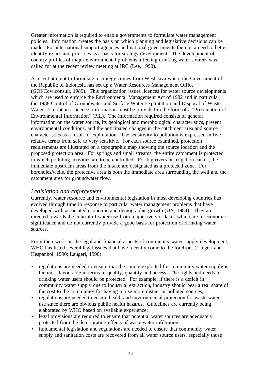Greater information is required to enable governments to formulate water management policies. Information creates the basis on which planning and legislative decisions can be made. For international support agencies and national governments there is a need to better identify issues and priorities as a basis for strategy development. The development of country profiles of major environmental problems affecting drinking water sources was called for at the recent review meeting at IRC (Lee, 1990).

A recent attempt to formulate a strategy comes from West Java where the Government of the Republic of Indonesia has set up a Water Resources Management Office (GOI/Cowiconsult, 1989). This organization issues licences for water source developments which are used to enforce the Environmental Management Act of 1982 and in particular, the 1988 Control of Groundwater and Surface Water Exploitation and Disposal of Waste Water. To obtain a licence, information must be provided in the form of a "Presentation of Environmental Information" (PIL). The information required consists of general information on the water source, its geological and morphological characteristics, present environmental conditions, and the anticipated changes in the catchment area and source characteristics as a result of exploitation. The sensitivity to pollution is expressed in five relative terms from safe to very sensitive. For each source examined, protection requirements are illustrated on a topographic map showing the source location and the proposed protection area. For springs and small streams, the entire catchment is protected in which polluting activities are to be controlled. For big rivers or irrigation canals, the immediate upstream areas from the intake are designated as a protected zone. For boreholes/wells, the protective area is both the immediate area surrounding the well and the catchment area for groundwater flow.

#### *Legislation and enforcement*

Currently, water resource and environmental legislation in most developing countries has evolved through time in response to particular water management problems that have developed with associated economic and demographic growth (UN, 1984). They are directed towards the control of water use from major rivers or lakes which are of economic significance and do not currently provide a good basis for protection of drinking water sources.

From their work on the legal and financial aspects of community water supply development, WHO has listed several legal issues that have recently come to the forefront (Laugeri and Hespanhol, 1990; Laugeri, 1990):

- regulations are needed to ensure that the source exploited for community water supply is the most favourable in terms of quality, quantity and access. The rights and needs of drinking water users should be protected. For example, if there is a deficit in community water supply due to industrial extraction, industry should bear a real share of the cost to the community for having to use more distant or polluted sources;
- regulations are needed to ensure health and environmental protection for waste water use since there are obvious public health hazards. Guidelines are currently being elaborated by WHO based on available experience;
- legal provisions are required to ensure that potential water sources are adequately protected from the deteriorating effects of waste water infiltration;
- fundamental legislation and regulations are needed to ensure that community water supply and sanitation costs are recovered from all water source users, especially those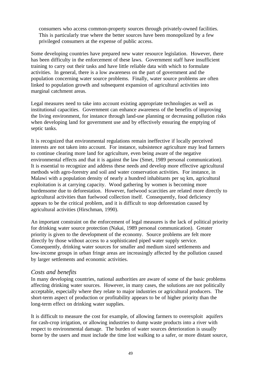consumers who access common-property sources through privately-owned facilities. This is particularly true where the better sources have been monopolized by a few privileged consumers at the expense of public access.

Some developing countries have prepared new water resource legislation. However, there has been difficulty in the enforcement of these laws. Government staff have insufficient training to carry out their tasks and have little reliable data with which to formulate activities. In general, there is a low awareness on the part of government and the population concerning water source problems. Finally, water source problems are often linked to population growth and subsequent expansion of agricultural activities into marginal catchment areas.

Legal measures need to take into account existing appropriate technologies as well as institutional capacities. Government can enhance awareness of the benefits of improving the living environment, for instance through land-use planning or decreasing pollution risks when developing land for government use and by effectively ensuring the emptying of septic tanks.

It is recognized that environmental regulations remain ineffective if locally perceived interests are not taken into account. For instance, subsistence agriculture may lead farmers to continue clearing more land for agriculture, even being aware of the negative environmental effects and that it is against the law (Smet, 1989 personal communication). It is essential to recognize and address these needs and develop more effective agricultural methods with agro-forestry and soil and water conservation activities. For instance, in Malawi with a population density of nearly a hundred inhabitants per sq km, agricultural exploitation is at carrying capacity. Wood gathering by women is becoming more burdensome due to deforestation. However, fuelwood scarcities are related more directly to agricultural activities than fuelwood collection itself. Consequently, food deficiency appears to be the critical problem, and it is difficult to stop deforestation caused by agricultural activities (Hirschman, 1990).

An important constraint on the enforcement of legal measures is the lack of political priority for drinking water source protection (Nakai, 1989 personal communication). Greater priority is given to the development of the economy. Source problems are felt more directly by those without access to a sophisticated piped water supply service. Consequently, drinking water sources for smaller and medium sized settlements and low-income groups in urban fringe areas are increasingly affected by the pollution caused by larger settlements and economic activities.

#### *Costs and benefits*

In many developing countries, national authorities are aware of some of the basic problems affecting drinking water sources. However, in many cases, the solutions are not politically acceptable, especially where they relate to major industries or agricultural producers. The short-term aspect of production or profitability appears to be of higher priority than the long-term effect on drinking water supplies.

It is difficult to measure the cost for example, of allowing farmers to overexploit aquifers for cash-crop irrigation, or allowing industries to dump waste products into a river with respect to environmental damage. The burden of water sources deterioration is usually borne by the users and must include the time lost walking to a safer, or more distant source,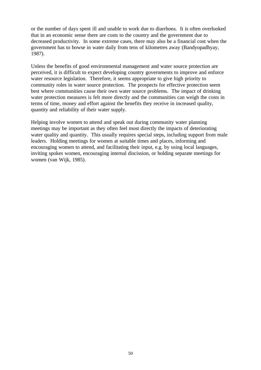or the number of days spent ill and unable to work due to diarrhoea. It is often overlooked that in an economic sense there are costs to the country and the government due to decreased productivity. In some extreme cases, there may also be a financial cost when the government has to bowse in water daily from tens of kilometres away (Bandyopadhyay, 1987).

Unless the benefits of good environmental management and water source protection are perceived, it is difficult to expect developing country governments to improve and enforce water resource legislation. Therefore, it seems appropriate to give high priority to community roles in water source protection. The prospects for effective protection seem best where communities cause their own water source problems. The impact of drinking water protection measures is felt more directly and the communities can weigh the costs in terms of time, money and effort against the benefits they receive in increased quality, quantity and reliability of their water supply.

Helping involve women to attend and speak out during community water planning meetings may be important as they often feel most directly the impacts of deteriorating water quality and quantity. This usually requires special steps, including support from male leaders. Holding meetings for women at suitable times and places, informing and encouraging women to attend, and facilitating their input, e.g. by using local languages, inviting spokes women, encouraging internal discission, or holding separate meetings for women (van Wijk, 1985).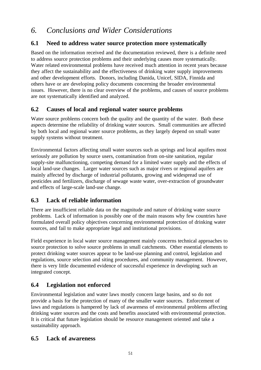# *6. Conclusions and Wider Considerations*

# **6.1 Need to address water source protection more systematically**

Based on the information received and the documentation reviewed, there is a definite need to address source protection problems and their underlying causes more systematically. Water related environmental problems have received much attention in recent years because they affect the sustainability and the effectiveness of drinking water supply improvements and other development efforts. Donors, including Danida, Unicef, SIDA, Finnida and others have or are developing policy documents concerning the broader environmental issues. However, there is no clear overview of the problems, and causes of source problems are not systematically identified and analyzed.

# **6.2 Causes of local and regional water source problems**

Water source problems concern both the quality and the quantity of the water. Both these aspects determine the reliability of drinking water sources. Small communities are affected by both local and regional water source problems, as they largely depend on small water supply systems without treatment.

Environmental factors affecting small water sources such as springs and local aquifers most seriously are pollution by source users, contamination from on-site sanitation, regular supply-site malfunctioning, competing demand for a limited water supply and the effects of local land-use changes. Larger water sources such as major rivers or regional aquifers are mainly affected by discharge of industrial pollutants, growing and widespread use of pesticides and fertilizers, discharge of sewage waste water, over-extraction of groundwater and effects of large-scale land-use change.

# **6.3 Lack of reliable information**

There are insufficient reliable data on the magnitude and nature of drinking water source problems. Lack of information is possibly one of the main reasons why few countries have formulated overall policy objectives concerning environmental protection of drinking water sources, and fail to make appropriate legal and institutional provisions.

Field experience in local water source management mainly concerns technical approaches to source protection to solve source problems in small catchments. Other essential elements to protect drinking water sources appear to be land-use planning and control, legislation and regulations, source selection and siting procedures, and community management. However, there is very little documented evidence of successful experience in developing such an integrated concept.

# **6.4 Legislation not enforced**

Environmental legislation and water laws mostly concern large basins, and so do not provide a basis for the protection of many of the smaller water sources. Enforcement of laws and regulations is hampered by lack of awareness of environmental problems affecting drinking water sources and the costs and benefits associated with environmental protection. It is critical that future legislation should be resource management oriented and take a sustainability approach.

## **6.5 Lack of awareness**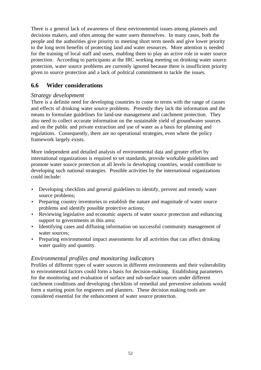There is a general lack of awareness of these environmental issues among planners and decisions makers, and often among the water users themselves. In many cases, both the people and the authorities give priority to meeting short term needs and give lower priority to the long term benefits of protecting land and water resources. More attention is needed for the training of local staff and users, enabling them to play an active role in water source protection. According to participants at the IRC working meeting on drinking water source protection, water source problems are currently ignored because there is insufficient priority given to source protection and a lack of political commitment to tackle the issues.

# **6.6 Wider considerations**

## *Strategy development*

There is a definite need for developing countries to come to terms with the range of causes and effects of drinking water source problems. Presently they lack the information and the means to formulate guidelines for land-use management and catchment protection. They also need to collect accurate information on the sustainable yield of groundwater sources and on the public and private extraction and use of water as a basis for planning and regulations. Consequently, there are no operational strategies, even where the policy framework largely exists.

More independent and detailed analysis of environmental data and greater effort by international organizations is required to set standards, provide workable guidelines and promote water source protection at all levels in developing countries, would contribute to developing such national strategies. Possible activities by the international organizations could include:

- Developing checklists and general guidelines to identify, prevent and remedy water source problems;
- Preparing country inventories to establish the nature and magnitude of water source problems and identify possible protective actions;
- Reviewing legislative and economic aspects of water source protection and enhancing support to governments in this area;
- Identifying cases and diffusing information on successful community management of water sources:
- Preparing environmental impact assessments for all activities that can affect drinking water quality and quantity.

## *Environmental profiles and monitoring indicators*

Profiles of different types of water sources in different environments and their vulnerability to environmental factors could form a basis for decision-making. Establishing parameters for the monitoring and evaluation of surface and sub-surface sources under different catchment conditions and developing checklists of remedial and preventive solutions would form a starting point for engineers and planners. These decision making tools are considered essential for the enhancement of water source protection.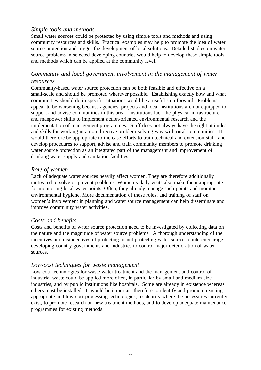# *Simple tools and methods*

Small water sources could be protected by using simple tools and methods and using community resources and skills. Practical examples may help to promote the idea of water source protection and trigger the development of local solutions. Detailed studies on water source problems in selected developing countries would help to develop these simple tools and methods which can be applied at the community level.

# *Community and local government involvement in the management of water resources*

Community-based water source protection can be both feasible and effective on a small-scale and should be promoted wherever possible. Establishing exactly how and what communities should do in specific situations would be a useful step forward. Problems appear to be worsening because agencies, projects and local institutions are not equipped to support and advise communities in this area. Institutions lack the physical infrastructure and manpower skills to implement action-oriented environmental research and the implementation of management programmes. Staff does not always have the right attitudes and skills for working in a non-directive problem-solving way with rural communities. It would therefore be appropriate to increase efforts to train technical and extension staff, and develop procedures to support, advise and train community members to promote drinking water source protection as an integrated part of the management and improvement of drinking water supply and sanitation facilities.

## *Role of women*

Lack of adequate water sources heavily affect women. They are therefore additionally motivated to solve or prevent problems. Women's daily visits also make them appropriate for monitoring local water points. Often, they already manage such points and monitor environmental hygiene. More documentation of these roles, and training of staff on women's involvement in planning and water source management can help disseminate and improve community water activities.

#### *Costs and benefits*

Costs and benefits of water source protection need to be investigated by collecting data on the nature and the magnitude of water source problems. A thorough understanding of the incentives and disincentives of protecting or not protecting water sources could encourage developing country governments and industries to control major deterioration of water sources.

#### *Low-cost techniques for waste management*

Low-cost technologies for waste water treatment and the management and control of industrial waste could be applied more often, in particular by small and medium size industries, and by public institutions like hospitals. Some are already in existence whereas others must be installed. It would be important therefore to identify and promote existing appropriate and low-cost processing technologies, to identify where the necessities currently exist, to promote research on new treatment methods, and to develop adequate maintenance programmes for existing methods.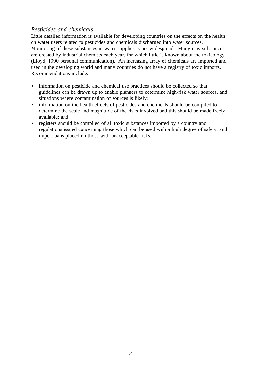# *Pesticides and chemicals*

Little detailed information is available for developing countries on the effects on the health on water users related to pesticides and chemicals discharged into water sources. Monitoring of these substances in water supplies is not widespread. Many new substances are created by industrial chemists each year, for which little is known about the toxicology (Lloyd, 1990 personal communication). An increasing array of chemicals are imported and used in the developing world and many countries do not have a registry of toxic imports. Recommendations include:

- information on pesticide and chemical use practices should be collected so that guidelines can be drawn up to enable planners to determine high-risk water sources, and situations where contamination of sources is likely;
- information on the health effects of pesticides and chemicals should be compiled to determine the scale and magnitude of the risks involved and this should be made freely available; and
- registers should be compiled of all toxic substances imported by a country and regulations issued concerning those which can be used with a high degree of safety, and import bans placed on those with unacceptable risks.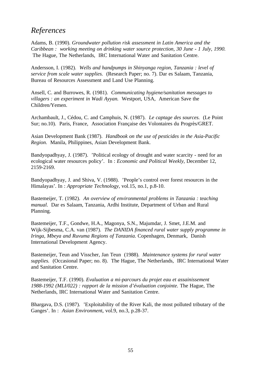# *References*

Adams, B. (1990). *Groundwater pollution risk assessment in Latin America and the Caribbean : working meeting on drinking water source protection, 30 June - 1 July, 1990.* The Hague, The Netherlands, IRC International Water and Sanitation Centre.

Andersson, I. (1982). *Wells and handpumps in Shinyanga region, Tanzania : level of service from scale water supplies.* (Research Paper; no. 7). Dar es Salaam, Tanzania, Bureau of Resources Assessment and Land Use Planning.

Ansell, C. and Burrowes, R. (1981). *Communicating hygiene/sanitation messages to villagers : an experiment in Wadi Ayyan.* Westport, USA, American Save the Children/Yemen.

Archambault, J., Cédou, C. and Camphuis, N. (1987). *Le captage des sources.* (Le Point Sur; no.10). Paris, France, Association Française des Volontaires du Progrès/GRET.

Asian Development Bank (1987). *Handbook on the use of pesticides in the Asia-Pacific Region*. Manila, Philippines, Asian Development Bank.

Bandyopadhyay, J. (1987). 'Political ecology of drought and water scarcity - need for an ecological water resources policy'*.* In : *Economic and Political Weekly*, December 12, 2159-2169.

Bandyopadhyay, J. and Shiva, V. (1988). 'People's control over forest resources in the Himalayas'. In : *Appropriate Technology,* vol.15, no.1, p.8-10.

Bastemeijer, T. (1982). *An overview of environmental problems in Tanzania : teaching manual*. Dar es Salaam, Tanzania, Ardhi Institute, Department of Urban and Rural Planning.

Bastemeijer, T.F., Gondwe, H.A., Magonya, S.N., Majumdar, J. Smet, J.E.M. and Wijk-Sijbesma, C.A. van (1987). *The DANIDA financed rural water supply programme in Iringa, Mbeya and Ruvuma Regions of Tanzania.* Copenhagen, Denmark, Danish International Development Agency.

Bastemeijer, Teun and Visscher, Jan Teun (1988). *Maintenance systems for rural water supplies.* (Occasional Paper; no. 8). The Hague, The Netherlands, IRC International Water and Sanitation Centre.

Bastemeijer, T.F. (1990). *Evaluation a mi-parcours du projet eau et assainissement 1988-1992 (MLI/022) : rapport de la mission d'évaluation conjointe.* The Hague, The Netherlands, IRC International Water and Sanitation Centre.

Bhargava, D.S. (1987). 'Exploitability of the River Kali, the most polluted tributary of the Ganges'. In : *Asian Environmen*t, vol.9, no.3, p.28-37.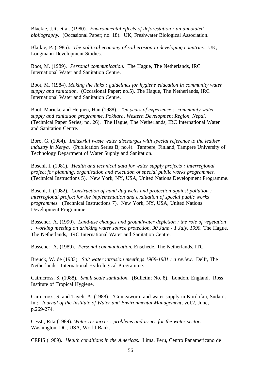Blackie, J.R. et al. (1980). *Environmental effects of deforestation : an annotated bibliography.* (Occasional Paper; no. 18). UK, Freshwater Biological Association.

Blaikie, P. (1985). *The political economy of soil erosion in developing countries.* UK, Longmann Development Studies.

Boot, M. (1989). *Personal communication*. The Hague, The Netherlands, IRC International Water and Sanitation Centre.

Boot, M. (1984). *Making the links : guidelines for hygiene education in community water supply and sanitation.* (Occasional Paper; no.5). The Hague, The Netherlands, IRC International Water and Sanitation Centre.

Boot, Marieke and Heijnen, Han (1988). *Ten years of experience : community water supply and sanitation programme, Pokhara, Western Development Region, Nepal.* (Technical Paper Series; no. 26). The Hague, The Netherlands, IRC International Water and Sanitation Centre.

Boro, G. (1984). *Industrial waste water discharges with special reference to the leather industry in Kenya.* (Publication Series B; no.4). Tampere, Finland, Tampere University of Technology Department of Water Supply and Sanitation.

Boschi, I. (1981). *Health and technical data for water supply projects : interregional project for planning, organisation and execution of special public works programmes.* (Technical Instructions 5). New York, NY, USA, United Nations Development Programme.

Boschi, I. (1982). *Construction of hand dug wells and protection against pollution : interregional project for the implementation and evaluation of special public works programmes.* (Technical Instructions 7). New York, NY, USA, United Nations Development Programme.

Bosscher, A. (1990). *Land-use changes and groundwater depletion : the role of vegetation : working meeting on drinking water source protection, 30 June - 1 July, 1990. The Hague,* The Netherlands, IRC International Water and Sanitation Centre.

Bosscher, A. (1989). *Personal communication.* Enschede, The Netherlands, ITC.

Breuck, W. de (1983). *Salt water intrusion meetings 1968-1981 : a review.* Delft, The Netherlands, International Hydrological Programme.

Cairncross, S. (1988). *Small scale sanitation.* (Bulletin; No. 8). London, England, Ross Institute of Tropical Hygiene.

Cairncross, S. and Tayeh, A. (1988). 'Guineaworm and water supply in Kordofan, Sudan'. In : *Journal of the Institute of Water and Environmental Management*, vol.2, June, p.269-274.

Cessti, Rita (1989). *Water resources : problems and issues for the water sector.* Washington, DC, USA, World Bank.

CEPIS (1989). *Health conditions in the Americas.* Lima, Peru, Centro Panamericano de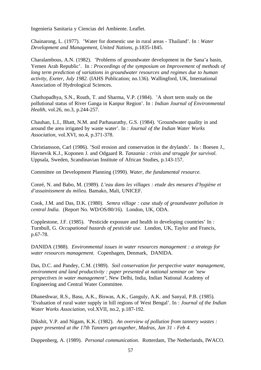Ingenieria Sanitaria y Ciencias del Ambiente. Leaflet.

Chainarong, L. (1977). 'Water for domestic use in rural areas - Thailand'. In : *Water Development and Management, United Nations*, p.1835-1845.

Charalambous, A.N. (1982). 'Problems of groundwater development in the Sana'a basin, Yemen Arab Republic'. In : *Proceedings of the symposium on Improvement of methods of long term prediction of variations in groundwater resources and regimes due to human activity, Exeter, July 1982*. (IAHS Publication; no.136). Wallingford, UK, International Association of Hydrological Sciences.

Chathopadhya, S.N., Routh, T. and Sharma, V.P. (1984). 'A short term study on the pollutional status of River Ganga in Kanpur Region'. In : *Indian Journal of Environmental Health*, vol.26, no.3, p.244-257.

Chauhan, L.I., Bhatt, N.M. and Parhasarathy, G.S. (1984). 'Groundwater quality in and around the area irrigated by waste water'. In : *Journal of the Indian Water Works Association,* vol.XVI, no.4, p.371-378.

Christiansson, Carl (1986). 'Soil erosion and conservation in the drylands'. In : Boesen J., Havnevik K.J., Koponen J. and Odgaard R. *Tanzania : crisis and struggle for survival*. Uppsala, Sweden, Scandinavian Institute of African Studies, p.143-157.

Committee on Development Planning (1990). *Water, the fundamental resource.*

Conré, N. and Babo, M. (1989). *L'eau dans les villages : etude des mesures d'hygiène et d'assainissment du milieu.* Bamako, Mali, UNICEF.

Cook, J.M. and Das, D.K. (1980). *Semra village : case study of groundwater pollution in central India.* (Report No. WD/OS/80/16). London, UK, ODA.

Copplestone, J.F. (1985). 'Pesticide exposure and health in developing countries' In : Turnbull, G. *Occupational hazards of pesticide use*. London, UK, Taylor and Francis, p.67-78.

DANIDA (1988). *Environmental issues in water resources management : a strategy for water resources management.* Copenhagen, Denmark, DANIDA.

Das, D.C. and Pandey, C.M. (1989). *Soil conservation for perspective water management, environment and land productivity : paper presented at national seminar on 'new perspectives in water management',* New Delhi, India, Indian National Academy of Engineering and Central Water Committee.

Dhaneshwar, R.S., Basu, A.K., Biswas, A.K., Ganguly, A.K. and Sanyal, P.B. (1985). 'Evaluation of rural water supply in hill regions of West Bengal'. In : *Journal of the Indian Water Works Association*, vol.XVII, no.2, p.187-192.

Dikshit, V.P. and Nigam, K.K. (1982). *An overview of pollution from tannery wastes : paper presented at the 17th Tanners get-together, Madras, Jan 31 - Feb 4.*

Doppenberg, A. (1989). *Personal communication*. Rotterdam, The Netherlands, IWACO.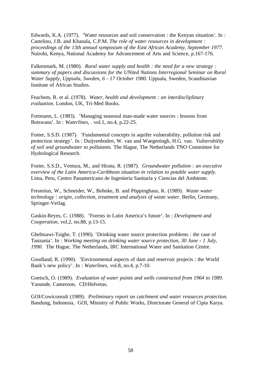Edwards, K.A. (1977). 'Water resources and soil conservation : the Kenyan situation'. In : Castelino, J.B. and Khanala, C.P.M. *The role of water resources in development : proceedings of the 13th annual symposium of the East African Academy, September 1977.* Nairobi, Kenya, National Academy for Advancement of Arts and Science, p.167-176.

Falkenmark, M. (1980). *Rural water supply and health : the need for a new strategy : summary of papers and discussions for the UNited Nations Interregional Seminar on Rural Water Supply, Uppsala, Sweden, 6 - 17 October 1980.* Uppsala, Sweden, Scandinavian Institute of African Studies.

Feachem, R. et al. (1978). *Water, health and development : an interdiscliplinary evaluation.* London, UK, Tri-Med Books.

Fortmann, L. (1983). 'Managing seasonal man-made water sources : lessons from Botswana'. In : *Waterlines, .* vol.1, no.4, p.22-25.

Foster, S.S.D. (1987). 'Fundamental concepts in aquifer vulnerability, pollution risk and protection strategy'. In : Duijvenboden, W. van and Waegeningh, H.G. van. *Vulnerability of soil and groundwater to pollutants.* The Hague, The Netherlands TNO Committee for Hydrological Research.

Foster, S.S.D., Ventura, M., and Hirata, R. (1987). *Groundwater pollution : an executive overview of the Latin America-Caribbean situation in relation to potable water supply.* Lima, Peru, Centro Panamericano de Ingenieria Sanitaria y Ciencias del Ambiente.

Fresenius, W., Schneider, W., Bohnke, B. and Pöppinghaus, K. (1989). *Waste water technology : origin, collection, treatment and analysis of waste water.* Berlin, Germany, Springer-Verlag.

Gaskin-Reyes, C. (1988). 'Forests in Latin America's future'. In : *Development and Cooperation*, vol.2, no.88, p.13-15.

Ghebtsawi-Tsighe, T. (1990). 'Drinking water source protection problems : the case of Tanzania'. In : *Working meeting on drinking water source protection, 30 June - 1 July, 1990.* The Hague, The Netherlands, IRC International Water and Sanitation Centre.

Goodland, R. (1990). 'Environmental aspects of dam and reservoir projects : the World Bank's new policy'. In : *Waterlines*, vol.8, no.4, p.7-10.

Goetsch, O. (1989). *Evaluation of water points and wells constructed from 1964 to 1989*. Yaounde, Cameroon, CD/Helvetas.

GOI/Cowiconsult (1989). *Preliminary report on catchment and water resources protection.* Bandung, Indonesia, GOI, Ministry of Public Works, Directorate General of Cipta Karya.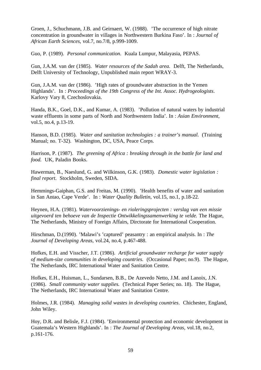Groen, J., Schuchmann, J.B. and Geirnaert, W. (1988). 'The occurrence of high nitrate concentration in groundwater in villages in Northwestern Burkina Faso'. In : *Journal of African Earth Sciences*, vol.7, no.7/8, p.999-1009.

Guo, P. (1989). *Personal communication*. Kuala Lumpur, Malayasia, PEPAS.

Gun, J.A.M. van der (1985). *Water resources of the Sadah area.* Delft, The Netherlands, Delft University of Technology, Unpublished main report WRAY-3.

Gun, J.A.M. van der (1986). 'High rates of groundwater abstraction in the Yemen Highlands'. In : *Proceedings of the 19th Congress of the Int. Assoc. Hydrogeologists*. Karlovy Vary 8, Czechoslovakia.

Handa, B.K., Goel, D.K., and Kumar, A. (1983). 'Pollution of natural waters by industrial waste effluents in some parts of North and Northwestern India'. In : *Asian Environment,* vol.5, no.4, p.13-19.

Hanson, B.D. (1985). *Water and sanitation technologies : a trainer's manual*. (Training Manual; no. T-32). Washington, DC, USA, Peace Corps.

Harrison, P. (1987). *The greening of Africa : breaking through in the battle for land and food.* UK, Paladin Books.

Hawerman, B., Naeslund, G. and Wilkinson, G.K. (1983). *Domestic water legislation : final report*. Stockholm, Sweden, SIDA.

Hemmings-Gaiphan, G.S. and Freitas, M. (1990). 'Health benefits of water and sanitation in San Antao, Cape Verde'. In : *Water Quality Bulletin*, vol.15, no.1, p.18-22.

Heynen, H.A. (1981). *Watervoorzienings- en rioleringsprojecten : verslag van een missie uitgevoerd ten behoeve van de Inspectie Ontwikkelingssamenwerking te velde.* The Hague, The Netherlands, Ministry of Foreign Affairs, Dirctorate for International Cooperation.

Hirschman, D.(1990). 'Malawi's 'captured' peasantry : an empirical analysis. In : *The Journal of Developing Areas,* vol.24, no.4, p.467-488.

Hofkes, E.H. and Visscher, J.T. (1986). *Artificial groundwater recharge for water supply of medium-size communities in developing countries.* (Occasional Paper; no.9). The Hague, The Netherlands, IRC International Water and Sanitation Centre.

Hofkes, E.H., Huisman, L., Sundarsen, B.B., De Azevedo Netto, J.M. and Lanoix, J.N. (1986). *Small community water supplies.* (Technical Paper Series; no. 18). The Hague, The Netherlands, IRC International Water and Sanitation Centre.

Holmes, J.R. (1984). *Managing solid wastes in developing countries*. Chichester, England, John Wiley.

Hoy, D.R. and Belisle, F.J. (1984). 'Environmental protection and economic development in Guatemala's Western Highlands'. In : *The Journal of Developing Areas*, vol.18, no.2, p.161-176.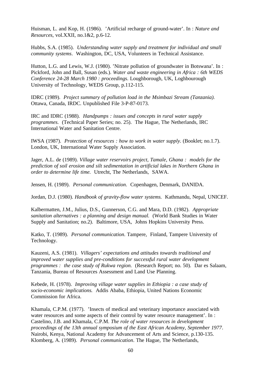Huisman, L. and Kop, H. (1986). 'Artificial recharge of ground-water'. In : *Nature and Resources*, vol.XXII, no.1&2, p.6-12.

Hubbs, S.A. (1985). *Understanding water supply and treatment for individual and small community systems*. Washington, DC, USA, Volunteers in Technical Assistance.

Hutton, L.G. and Lewis, W.J. (1980). 'Nitrate pollution of groundwater in Botswana'. In : Pickford, John and Ball, Susan (eds.). *Water and waste engineering in Africa : 6th WEDS Conference 24-28 March 1980 : proceedings*. Loughborough, UK, Loghbourough University of Technology, WEDS Group, p.112-115.

IDRC (1989). *Project summary of pollution load in the Msimbazi Stream (Tanzania).* Ottawa, Canada, IRDC. Unpublished File 3-P-87-0173.

IRC and IDRC (1988). *Handpumps : issues and concepts in rural water supply programmes*. (Technical Paper Series; no. 25). The Hague, The Netherlands, IRC International Water and Sanitation Centre.

IWSA (1987). *Protection of resources : how to work in water supply.* (Booklet; no.1.7). London, UK, International Water Supply Association.

Jager, A.L. de (1989). *Village water reservoirs project, Tamale, Ghana : models for the prediction of soil erosion and silt sedimentation in artificial lakes in Northern Ghana in order to determine life time.* Utrecht, The Netherlands, SAWA.

Jensen, H. (1989). *Personal communication*. Copenhagen, Denmark, DANIDA.

Jordan, D.J. (1980). *Handbook of gravity-flow water systems.* Kathmandu, Nepal, UNICEF.

Kalbermatten, J.M., Julius, D.S., Gunnerson, C.G. and Mara, D.D. (1982). *Appropriate sanitation alternatives : a planning and design manual.* (World Bank Studies in Water Supply and Sanitation; no.2). Baltimore, USA, Johns Hopkins University Press.

Katko, T. (1989). *Personal communication*. Tampere, Finland, Tampere University of Technology.

Kauzeni, A.S. (1981). *Villagers' expectations and attitudes towards traditional and improved water supplies and pre-conditions for successful rural water development programmes : the case study of Rukwa region.* (Research Report; no. 50). Dar es Salaam, Tanzania, Bureau of Resources Assessment and Land Use Planning.

Kebede, H. (1978). *Improving village water supplies in Ethiopia : a case study of socio-economic implications.* Addis Ababa, Ethiopia, United Nations Economic Commission for Africa.

Khamala, C.P.M. (1977). 'Insects of medical and veterinary importance associated with water resources and some aspects of their control by water resource management'. In : Castelino, J.B. and Khamala, C.P.M. *The role of water resources in development proceedings of the 13th annual symposium of the East African Academy, September 1977*. Nairobi, Kenya, National Academy for Advancement of Arts and Science, p.130-135. Klomberg, A. (1989). *Personal communication*. The Hague, The Netherlands,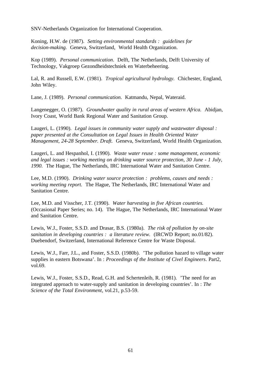SNV-Netherlands Organization for International Cooperation.

Koning, H.W. de (1987). *Setting environmental standards : guidelines for decision-making.* Geneva, Switzerland, World Health Organization.

Kop (1989). *Personal communication*. Delft, The Netherlands, Delft University of Technology, Vakgroep Gezondheidstechniek en Waterbeheering.

Lal, R. and Russell, E.W. (1981). *Tropical agricultural hydrology.* Chichester, England, John Wiley.

Lane, J. (1989). *Personal communication*. Katmandu, Nepal, Wateraid.

Langenegger, O. (1987). *Groundwater quality in rural areas of western Africa.* Abidjan, Ivory Coast, World Bank Regional Water and Sanitation Group.

Laugeri, L. (1990). *Legal issues in community water supply and wastewater disposal : paper presented at the Consultation on Legal Issues in Health Oriented Water Management, 24-28 September. Draft.* Geneva, Switzerland, World Health Organization.

Laugeri, L. and Hespanhol, I. (1990). *Waste water reuse : some management, economic and legal issues : working meeting on drinking water source protection, 30 June - 1 July, 1990.* The Hague, The Netherlands, IRC International Water and Sanitation Centre.

Lee, M.D. (1990). *Drinking water source protection : problems, causes and needs : working meeting report.* The Hague, The Netherlands, IRC International Water and Sanitation Centre.

Lee, M.D. and Visscher, J.T. (1990). *Water harvesting in five African countries.* (Occasional Paper Series; no. 14). The Hague, The Netherlands, IRC International Water and Sanitation Centre.

Lewis, W.J., Foster, S.S.D. and Drasar, B.S. (1980a). *The risk of pollution by on-site sanitation in developing countries : a literature review.* (IRCWD Report; no.01/82). Duebendorf, Switzerland, International Reference Centre for Waste Disposal.

Lewis, W.J., Farr, J.L., and Foster, S.S.D. (1980b). 'The pollution hazard to village water supplies in eastern Botswana'. In : *Proceedings of the Institute of Civel Engineers*. Part2, vol.69.

Lewis, W.J., Foster, S.S.D., Read, G.H. and Schertenleib, R. (1981). 'The need for an integrated approach to water-supply and sanitation in developing countries'. In : *The Science of the Total Environment*, vol.21, p.53-59.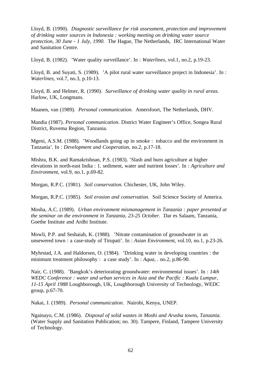Lloyd, B. (1990). *Diagnostic surveillance for risk assessment, protection and improvement of drinking water sources in Indonesia : working meeting on drinking water source protection, 30 June - 1 July, 1990.* The Hague, The Netherlands, IRC International Water and Sanitation Centre.

Lloyd, B. (1982). 'Water quality surveillance'. In : *Waterlines*, vol.1, no.2, p.19-23.

Lloyd, B. and Suyati, S. (1989). 'A pilot rural water surveillance project in Indonesia'. In : *Waterlines*, vol.7, no.3, p.10-13.

Lloyd, B. and Helmer, R. (1990). *Surveillance of drinking water quality in rural areas.* Harlow, UK, Longmans.

Maanen, van (1989). *Personal communication*. Amersfoort, The Netherlands, DHV.

Mandia (1987). *Personal communication*. District Water Engineer's Office, Songea Rural District, Ruvema Region, Tanzania.

Mgeni, A.S.M. (1988). 'Woodlands going up in smoke : tobacco and the environment in Tanzania'. In : *Development and Cooperation*, no.2, p.17-18.

Mishra, B.K. and Ramakrishnan, P.S. (1983). 'Slash and burn agriculture at higher elevations in north-east India : 1. sediment, water and nutrient losses'. In : *Agriculture and Environment*, vol.9, no.1, p.69-82.

Morgan, R.P.C. (1981). *Soil conservation.* Chichester, UK, John Wiley.

Morgan, R.P.C. (1985). *Soil erosion and conservation.* Soil Science Society of America.

Mosha, A.C. (1989). *Urban environment mismanagement in Tanzania : paper presented at the seminar on the environment in Tanzania, 23-25 October.* Dar es Salaam, Tanzania, Goethe Institute and Ardhi Institute.

Mowli, P.P. and Seshaiah, K. (1988). 'Nitrate contamination of groundwater in an unsewered town : a case-study of Tirupati'. In : *Asian Environment,* vol.10, no.1, p.23-26.

Myhrstad, J.A. and Haldorsen, O. (1984). 'Drinking water in developing countries : the minimum treatment philosophy : a case study'. In : *Aqua, .* no.2, p.86-90.

Nair, C. (1988). 'Bangkok's deteriorating groundwater: environmental issues'. In : *14th WEDC Conference : water and urban services in Asia and the Pacific : Kuala Lumpur, 11-15 April 1988* Loughborough, UK, Loughborough University of Technology, WEDC group, p.67-70.

Nakai, J. (1989). *Personal communication*. Nairobi, Kenya, UNEP.

Ngainayo, C.M. (1986). *Disposal of solid wastes in Moshi and Arusha towns, Tanzania.* (Water Supply and Sanitation Publication; no. 30). Tampere, Finland, Tampere University of Technology.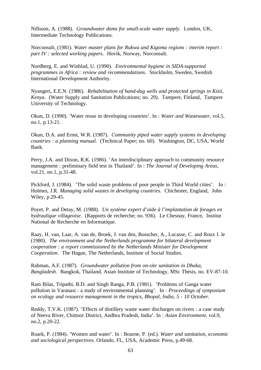Nillsson, A. (1988). *Groundwater dams for small-scale water supply.* London, UK, Intermediate Technology Publications.

Norconsult, (1981). *Water master plans for Rukwa and Kigoma regions : interim report : part IV : selected working papers.* Hovik, Norway, Norconsult.

Nordberg, E. and Winblad, U. (1990). *Environmental hygiene in SIDA-supported programmes in Africa : review and recommendations.* Stockholm, Sweden, Swedish International Development Authority.

Nyangeri, E.E.N. (1986). *Rehabilitation of hand-dug wells and protected springs in Kisii, Kenya*. (Water Supply and Sanitation Publications; no. 29). Tampere, Finland, Tampere University of Technology.

Okun, D. (1990). 'Water reuse in developing countries'. In : *Water and Wastewater*, vol.5, no.1, p.13-21.

Okun, D.A. and Ernst, W.R. (1987). *Community piped water supply systems in developing countries : a planning manual.* (Technical Paper; no. 60). Washington, DC, USA, World Bank.

Perry, J.A. and Dixon, R.K. (1986). 'An interdisciplinary approach to community resource management : preliminary field test in Thailand'. In : *The Journal of Developing Areas*, vol.21, no.1, p.31-48.

Pickford, J. (1984). 'The solid waste problems of poor people in Third World cities'. In : Holmes, J.R. *Managing solid wastes in developing countries.* Chichester, England, John Wiley, p.29-45.

Poyet, P. and Detay, M. (1988). *Un système expert d'aide à l'implantation de forages en hydraulique villageoise*. (Rapports de recherche; no. 936). Le Chesnay, France, Institut National de Recherche en Informatique.

Raay, H. van, Laar, A. van de, Broek, J. van den, Bosscher, A., Lucasse, C. and Roux I. le (1980). *The environment and the Netherlands programme for bilateral development cooperation : a report commissioned by the Netherlands Minister for Development Cooperation*. The Hague, The Netherlands, Institute of Social Studies.

Rahman, A.F. (1987). *Groundwater pollution from on-site sanitation in Dhaka, Bangladesh*. Bangkok, Thailand, Asian Institute of Technology, MSc Thesis, no. EV-87-10.

Ram Bilas, Tripathi, B.D. and Singh Ranga, P.B. (1981). 'Problems of Ganga water pollution in Varanasi : a study of environmental planning'. In : *Proceedings of symposium on ecology and resource management in the tropics, Bhopal, India, 5 - 10 October.*

Reddy, T.V.K. (1987). 'Effects of distillery waste water discharges on rivers : a case study of Neeva River, Chittoor District, Andhra Pradesh, India'. In : *Asian Environment,* vol.9, no.2, p.20-22.

Roark, P. (1984). 'Women and water'. In : Bourne, P. (ed.). *Water and sanitation, economic and sociological perspectives.* Orlando, FL, USA, Academic Press, p.49-68.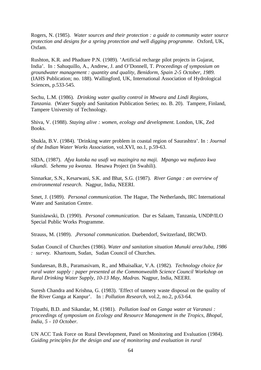Rogers, N. (1985). *Water sources and their protection : a guide to community water source protection and designs for a spring protection and well digging programme.* Oxford, UK, Oxfam.

Rushton, K.R. and Phadtare P.N. (1989). 'Artificial recharge pilot projects in Gujarat, India'. In : Sahuquillo, A., Andrew, J. and O'Donnell, T. *Proceedings of symposium on groundwater management : quantity and quality, Benidorm, Spain 2-5 October, 1989.* (IAHS Publication; no. 188). Wallingford, UK, International Association of Hydrological Sciences, p.533-545.

Sechu, L.M. (1986). *Drinking water quality control in Mtwara and Lindi Regions, Tanzania.* (Water Supply and Sanitation Publication Series; no. B. 20). Tampere, Finland, Tampere University of Technology.

Shiva, V. (1988). *Staying alive : women, ecology and development.* London, UK, Zed Books.

Shukla, B.V. (1984). 'Drinking water problem in coastal region of Saurashtra'. In : *Journal of the Indian Water Works Association*, vol.XVI, no.1, p.59-63.

SIDA, (1987). *Afya kutoka na usafi wa mazingira na maji. Mpango wa mafunzo kwa vikundi. Sehemu ya kwanza.* Hesawa Project (in Swahili).

Sinnarkar, S.N., Kesarwani, S.K. and Bhat, S.G. (1987). *River Ganga : an overview of environmental research*. Nagpur, India, NEERI.

Smet, J. (1989). *Personal communication*. The Hague, The Netherlands, IRC International Water and Sanitation Centre.

Stanislawski, D. (1990). *Personal communication*. Dar es Salaam, Tanzania, UNDP/ILO Special Public Works Programme.

Strauss, M. (1989). *,Personal communication.* Duebendorf, Switzerland, IRCWD.

Sudan Council of Churches (1986). *Water and sanitation situation Munuki area/Juba, 1986 : survey.* Khartoum, Sudan, Sudan Council of Churches.

Sundaresan, B.B., Paramasivam, R., and Mhaisalkar, V.A. (1982). *Technology choice for rural water supply : paper presented at the Commonwealth Science Council Workshop on Rural Drinking Water Supply, 10-13 May, Madras.* Nagpur, India, NEERI.

Suresh Chandra and Krishna, G. (1983). 'Effect of tannery waste disposal on the quality of the River Ganga at Kanpur'. In : *Pollution Research,* vol.2, no.2, p.63-64.

Tripathi, B.D. and Sikandar, M. (1981). *Pollution load on Ganga water at Varanasi : proceedings of symposium on Ecology and Resource Management in the Tropics, Bhopal, India, 5 - 10 October.*

UN ACC Task Force on Rural Development, Panel on Monitoring and Evaluation (1984). *Guiding principles for the design and use of monitoring and evaluation in rural*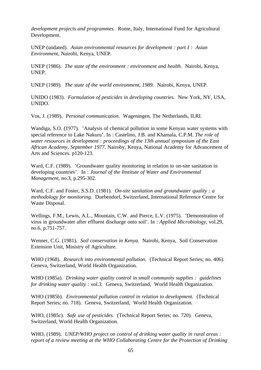*development projects and programmes.* Rome, Italy, International Fund for Agricultural Development.

UNEP (undated). *Asian environmental resources for development : part I : Asian Environment*, Nairobi, Kenya, UNEP.

UNEP (1986). *The state of the environment : environment and health.* Nairobi, Kenya, UNEP.

UNEP (1989). *The state of the world environment, 1989.* Nairobi, Kenya, UNEP.

UNIDO (1983). *Formulation of pesticides in developing countries.* New York, NY, USA, UNIDO.

Vos, J. (1989). *Personal communication*. Wageningen, The Netherlands, ILRI.

Wandiga, S.O. (1977). 'Analysis of chemical pollution in some Kenyan water systems with special reference to Lake Nakuru'. In : Castelino, J.B. and Khamala, C.P.M. *The role of water resources in development : proceedings of the 13th annual symposium of the East African Academy, September 1977.* Nairoby, Kenya, National Academy for Advancement of Arts and Sciences. p120-123.

Ward, C.F. (1989). 'Groundwater quality monitoring in relation to on-site sanitation in developing countries'. In : *Journal of the Institute of Water and Environmental Management*, no.3, p.295-302.

Ward, C.F. and Foster, S.S.D. (1981). *On-site sanitation and groundwater quality : a methodology for monitoring.* Duebendorf, Switzerland, International Reference Centre for Waste Disposal.

Wellings, F.M., Lewis, A.L., Mountain, C.W. and Pierce, L.V. (1975). 'Demonstration of virus in groundwater after effluent discharge onto soil'. In : *Applied Microbiology*, vol.29, no.6, p.751-757.

Wenner, C.G. (1981). *Soil conservation in Kenya.* Nairobi, Kenya, Soil Conservation Extension Unit, Ministry of Agriculture.

WHO (1968). *Research into environmental pollution.* (Technical Report Series; no. 406). Geneva, Switzerland, World Health Organization.

WHO (1985a). *Drinking water quality control in small community supplies : guidelines for drinking water quality : vol.3.* Geneva, Switzerland, World Health Organization.

WHO (1985b). *Environmental pollution control in relation to development.* (Technical Report Series; no. 718). Geneva, Switzerland, World Health Organization.

WHO, (1985c). *Safe use of pesticides.* (Technical Report Series; no. 720). Geneva, Switzerland, World Health Organization.

WHO, (1989). *UNEP/WHO project on control of drinking water quality in rural areas : report of a review meeting at the WHO Collaborating Centre for the Protection of Drinking*